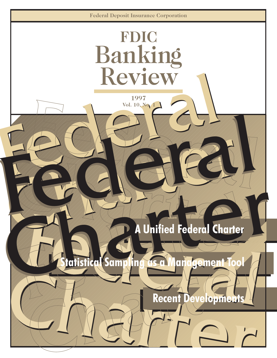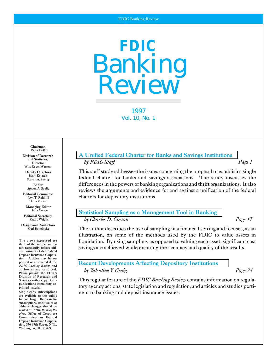# **FDIC**  Banking Review

1997 Vol. 10, No. 1

Chairman Ricki Helfer

and Statistics,<br>Director Wm. Roger Watson

Barry Kolatch<br>Steven A. Seelig

Editorial Committee<br>Jack T. Reidhill Detta Voesar

Managing Editor

Design and Production

The views expressed are cial positions of the Federal Deposit Insurance Corporation. Articles may be reprinted or abstracted if the<br>FDIC Banking Review and author(s) are credited.<br>Please provide the FDIC's Division of Research and<br>Statistics with a copy of any publications containing re-<br>printed material.

free of charge. Requests for subscriptions, back issues or address changes should be mailed to: *FDIC Banking Re* view, Office of Corporate Communications, Communications, Federal Deposit Insurance Corporation, 550 17th Street, N.W., Washington, DC 20429.

# Division of Research **Research Research [A Unified Federal Charter for Banks and Savings Institutions](#page-2-0)** DirectorDirector *by FDIC Staff Staff Page 1*

Deputy Directors This staff study addresses the issues concerning the proposal to establish a single federal charter for banks and savings associations. The study discusses the Editor differences in the powers of banking organizations and thrift organizations. It also<br>Steven A. Seelig conjours the example and evidence for and evaluation of the foderal reviews the arguments and evidence for and against a unification of the federal charters for depository institutions.

# Detta Voesar **[Statistical Sampling as a Management Tool in Banking](#page-18-0)**<br>
Cathy Wright *Editorial Secretary Statistical Sampling as a Management Tool in Banking*

## by Charles D. Cowan *Page 17*

 $G$ eri Bonebrake The author describes the use of sampling in a financial setting and focuses, as an illustration, on some of the methods used by the FDIC to value assets in The views expressed are liquidation. By using sampling, as opposed to valuing each asset, significant cost those of the authors and do a not necessarily reflect officially savings are achieved while ensuring the accuracy a savings are achieved while ensuring the accuracy and quality of the results.

# **[Recent Developments Affecting Depository Institutions](#page-26-0)**

Please provide the FDIC's *by Valentine Valentine V. Craig Page 24* 

This regular feature of the *FDIC Banking Review* contains information on regulatory agency actions, state legislation and regulation, and articles and studies perti-Single-copy subscriptions nent to banking and deposit insurance issues.<br>are available to the public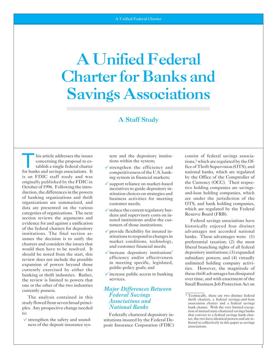# <span id="page-2-0"></span>A Unified Federal Charter for Banks and Savings Associations

# A Staff Study

This article addresses the issues tem and the depository institu-<br>
consist of federal savings associa-<br>
tions,<sup>1</sup> which are regulated by the Of-<br>
tablish a single federal charter<br>  $\checkmark$  strengthen the efficiency and<br>
for b tablish a single federal charter  $\checkmark$  strengthen the efficiency and fice of Thrift Supervision (OTS), and for banks and savings associations. It competitiveness of the U.S. bank- national banks, which are regulated for banks and savings associations. It competitiveness of the U.S. bank-<br>
is an FDIC staff study and was ing system in financial markets: by the Office of the Comptroller of is an FDIC staff study and was ing system in financial markets; by the Office of the Comptroller of originally published by the FDIC in  $\epsilon$  compact reliance on market begand the Currency (OCC). Their respecoriginally published by the FDIC in v support reliance on market-based the Currency (OCC). Their respectively in-<br>October of 1996. Following the intro-<br>duction, the differences in the powers struction choices on strategies duction, the differences in the powers stitution choices on strategies and and-loan holding companies, which<br>of banking organizations and thrift business activities for meeting are under the jurisdiction of the of banking organizations and thrift business activities for meeting organizations are summarized, and customer needs organizations are summarized, and<br>data are presented on the various<br>categories of organizations. The next<br>dens and supervisory costs on in-<br>Reserve Board (FRB). Section reviews the arguments and<br>
evidence for and against a unification<br>
of the federal charters for depository<br>
institutions. The final section as-<br>
sumes the decision is to unify the<br>
charters and considers the issues Should be noted from the start, this<br>
should be noted from the start, this<br>
review does not include the possible<br>
expansion of powers beyond those<br>
expansion of powers beyond those<br>
expansion of powers beyond those<br>
expans services.<br>
Small Business Job Protection Act on the other of the two industries<br>
one or the other of the two industries one or the other of the two industries currently possess.

ples. Any prospective change needed **National Banks** bank charter. With the very limited exception of mutual state-chartered savings banks

- 
- 
- 
- 
- 
- 

# **Major Differences Between**<br>*Federal Savings* The analysis contained in this *Federal Savings*<br>
study flowed from seven broad princi-<br>
older analysis contained in this *Associations and*<br>
older *Associations and*<br>
older *Mational Banks*<br>
older *Mational Banks*<br>
older

v strengthen the safety and sound-<br>ness of the deposit insurance sys-<br>posit Insurance Corporation (FDIC) ferred to collectively in this paper as savings<br>seciations

concerning the proposal to es-<br>tions within the system; the of-<br>tions,<sup>1</sup> which are regulated by the Of-

to:<br>Federally chartered depository in-<br>Federal Decaption of mutual state-chartered savings banks chartered savings bank chartered savings bank chartered to a federal savings bank chartered to a federal Savings bank charter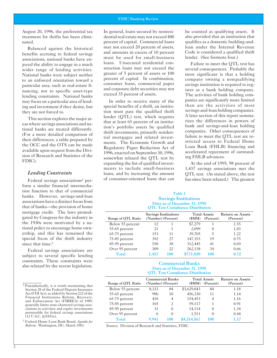August 20, 1996, the preferential tax treatment for thrifts has been eliminated.

Balanced against the historical benefits accruing to federal savings associations, national banks have enjoyed the ability to engage in a much wider range of lending activities. National banks were subject neither to an enforced orientation toward a particular area, such as real-estate financing, nor to specific asset-type lending constraints. National banks may focus on a particular area of lending and investment if they desire, but they are not forced to.

This section explores the major areas where savings associations and national banks are treated differently. (For a more detailed comparison of their differences, a table prepared by the OCC and the OTS can be made available upon request from the Division of Research and Statistics of the FDIC).

#### *Lending Constraints*

Federal savings associations2 perform a similar financial intermediation function to that of commercial banks. However, savings-and-loan associations have a distinct focus from that of banks—the provision of home mortgage credit. The laws promulgated by Congress for the industry in the 1930s were motivated by a national policy to encourage home ownership, and this has remained the special focus of the thrift industry since that time.<sup>3</sup>

Federal savings associations are subject to several specific lending constraints. These constraints were also relaxed by the recent legislation.

In general, loans secured by nonresidential real estate may not exceed 400 percent of capital. Commercial loans may not exceed 20 percent of assets, and amounts in excess of 10 percent must be used for small-business loans. Unsecured residential construction loans may not exceed the greater of 5 percent of assets or 100 percent of capital. In combination, consumer loans, commercial paper and corporate debt securities may not exceed 35 percent of assets.

In order to receive many of the special benefits of a thrift, an institution must pass the qualified thrift lender (QTL) test, which requires that at least 65 percent of an institution's portfolio assets be qualified thrift investments, primarily residential mortgages and related investments. The Economic Growth and Regulatory Paper Reduction Act of 1996, enacted on September 30, 1996, somewhat relaxed the QTL test by expanding the list of qualified investments to include small-business loans, and by increasing the amount of consumer-oriented loans that can

be counted as qualifying assets. It also provided that an institution that qualifies as a domestic building-andloan under the Internal Revenue Code is considered a qualified thrift lender. (See footnote four.)

Failure to meet the QTL test has several consequences. Probably the most significant is that a holding company owning a nonqualifying savings institution is required to register as a bank holding company. The activities of bank holding companies are significantly more limited than are the activities of most savings-and-loan holding companies. A later section of this report summarizes the differences in powers of bank and savings-and-loan holding companies. Other consequences of failure to meet the QTL test are restricted access to Federal Home Loan Bank (FHLB) financing and accelerated repayment of outstanding FHLB advances.

At the end of 1995, 98 percent of 1,437 savings associations met the QTL test. (As stated above, the test has since been relaxed.) The greatest

#### Table 1 Savings Institutions Data as of December 31, 1995 QTL Test Compliance Distribution

| $\sim$ 22 23 24 000 COUNTAINS CONTROL 2010 AND CENTURY |                                                                                    |     |           |                                      |      |
|--------------------------------------------------------|------------------------------------------------------------------------------------|-----|-----------|--------------------------------------|------|
| Range of QTL Ratio                                     | <b>Savings Institutions</b><br><b>Total Assets</b><br>(Number) (Percent)<br>(\$MM) |     | (Percent) | <b>Return on Assets</b><br>(Percent) |      |
| Below 55 percent                                       | 12                                                                                 |     | \$7,279   |                                      | 1.55 |
| 55-65 percent                                          | 21                                                                                 |     | 2.099     | $\theta$                             | 1.03 |
| 65-75 percent                                          | 153                                                                                | 11  | 39,705    | 5                                    | 1.22 |
| 75-85 percent                                          | 392                                                                                | 27  | 147,353   | 19                                   | 0.75 |
| 85-95 percent                                          | 550                                                                                | 38  | 312,445   | 41                                   | 0.69 |
| Over 95 percent                                        | 309                                                                                | 22  | 262,138   | 34                                   | 0.66 |
| <b>Total</b>                                           | 1.437                                                                              | 100 | \$771,020 | 100                                  | 0.72 |

#### Commercial Banks Data as of December 31, 1995 QTL Test Compliance Distribution

| Range of QTL Ratio | <b>Commercial Banks</b><br>(Number) (Percent) |          | (SMM)       | <b>Total Assets</b><br>(Percent) | <b>Return on Assets</b><br>(Percent) |
|--------------------|-----------------------------------------------|----------|-------------|----------------------------------|--------------------------------------|
| Below 55 percent   | 8.333                                         | 84       | \$3,629,043 | 84                               | 1.18                                 |
| 55-65 percent      | 996                                           | 10       | 456,330     | 11                               | 1.14                                 |
| 65-75 percent      | 410                                           | 4        | 154,453     | 4                                | 1.16                                 |
| 75-85 percent      | 165                                           | 2        | 59,117      |                                  | 0.91                                 |
| 85-95 percent      | 31                                            | $\Omega$ | 14,114      | $\theta$                         | 1.34                                 |
| Over 95 percent    | 6                                             | $\Omega$ | 1.511       | $\theta$                         | 0.44                                 |
| <b>Total</b>       | 9.941                                         | 100      | \$4,314,567 | 100                              | 1.17                                 |

**Source: Division of Research and Statistics, FDIC** 

<sup>2</sup> Parenthetically, it is worth mentioning that Section 28 of the Federal Deposit Insurance Act (FDI Act), as added by Section 222 of the Financial Institutions Reform, Recovery, and Enforcement Act (FIRREA) of 1989, generally limits state-chartered savings associations to activities and equity investments permissible for federal savings associations (12 U.S.C. §21831e).

<sup>3</sup> Federal Home Loan Bank Board, *Agenda for*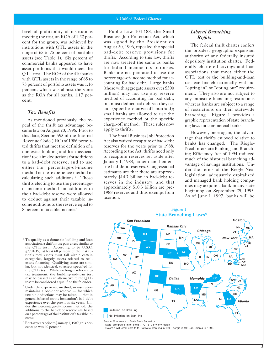level of profitability of institutions meeting the test, an ROA of 1.22 percent for the group, was achieved by institutions with QTL assets in the range of 65 to 75 percent of portfolio assets (see Table 1). Six percent of commercial banks appeared to have asset portfolios that would meet the QTL test. The ROA of the 410 banks with QTL assets in the range of 65 to 75 percent of portfolio assets was 1.16 percent, which was almost the same as the ROA for all banks, 1.17 percent.

#### *Tax Benefits*

As mentioned previously, the repeal of the thrift tax advantage became law on August 20, 1996. Prior to this date, Section 593 of the Internal Revenue Code (IRC) of 1986 permitted thrifts that met the definition of a domestic building-and-loan association4 to claim deductions for additions to a bad-debt reserve, and to use either the percentage-of-income method or the experience method in calculating such additions.5 Those thrifts electing to use the percentageof-income method for additions to their bad-debt reserve were allowed to deduct against their taxable income additions to the reserve equal to 8 percent of taxable income.<sup>6</sup>

Public Law 104-188, the Small *Liberal Branching*  Business Job Protection Act, which *Rights*  was signed by the President on<br>August 20, 1996, repealed the special<br>bad-debt reserve provisions for<br>thrifts. According to this law, thrifts<br>are now treated the same as banks depository institution charter. Fedfor federal income tax purposes. erally chartered savings-and-loan<br>Banks are not permitted to use the associations that meet either the Banks are not permitted to use the percentage-of-income method for ac- QTL test or the building-and-loan counting for bad debt. Large banks test can branch nationally with no (those with aggregate assets over \$500 "opting in" or "opting out" requiremillion) may not use any reserve ment. They also are not subject to method of accounting for bad debt, any intrastate branching restrictions but must deduct bad debts as they oc-<br>cur (specific charge-off method); of restrictions on their statewide small banks are allowed to use the branching. Figure 1 provides a experience method or the specific orantic representation of state branch-

experience method or the specific<br>
experience method. These rules now<br>
apply to thrifts.<br>
apply to thrifts.<br>
The Small Business Job Protection<br>
Act also waived recapture of bad-debt<br>
reserves for the years prior to 1988.<br>

of restrictions on their statewide

6 For tax years prior to January 1, 1987, this percentage was 40 percent.



1 Colora o will ermit unre tri te tatewi e bran ing in 199 , eorgia in 199 , an rkan a in 1999.

 $\overline{4 \text{ To}}$  qualify as a domestic building-and-loan association, a thrift must pass a test similar to the QTL test. According to 26 U.S.C. §7701(19), at least 60 percent of the institution's total assets must fall within certain categories, largely assets related to realestate financing. Qualifying assets are similar, but not identical, to assets specified for the QTL test. While no longer relevant to tax treatment, the building-and-loan test may be passed as an alternative to the QTL test to be considered a qualified thrift lender.

<sup>5</sup> Under the experience method, an institution maintains a bad-debt reserve — for which taxable deductions may be taken — that in general is based on the institution's bad-debt experience over the previous six years. Under the percentage-of-income method, the additions to the bad-debt reserve are based on a percentage of the institution's taxable income.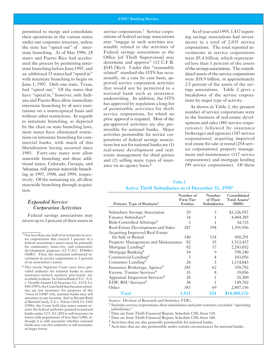#### FDIC Banking Review

permitted to merge and consolidate their operations in the various states under one corporate structure, unless the state has "opted out" of interstate branching. As of May 1996, 24 states and Puerto Rico had accelerated the process by permitting interstate branching before June 1997, and an additional 11 states had "opted in" with interstate branching to begin on June 1, 1997. Only one state, Texas, had "opted out." Of the states that have "opted in," however, only Indiana and Puerto Rico allow immediate interstate branching by *de novo* institutions on a nonreciprocal basis and without other restrictions. In regards to intrastate branching, as depicted by the chart on state branching laws, most states have eliminated restrictions on intrastate branching for commercial banks, with much of this liberalization having occurred since 1985. Forty-one states now allow statewide branching and three additional states, Colorado, Georgia, and Arkansas, will permit statewide branching in 1997, 1998, and 1999, respectively. Of the remaining six, all allow statewide branching through acquisition.

# *Expanded Service Corporation Activities*

Federal savings associations may invest up to 3 percent of their assets in

service corporations.<sup>7</sup> Service corporations of federal savings associations may "engage in such activities reasonably related to the activities of Federal savings associations as the Office [of Thrift Supervision] may determine and approve" (12 C.F.R. §545.74(c)). Under this "reasonably related" standard the OTS has occasionally, on a case by case basis, approved service corporation activities that would not be permitted to a national bank such as insurance underwriting. In addition, the OTS has approved by regulation a long list of permissible activities for thrift service corporations, for which no prior approval is required. Most of the pre-approved activities are also permissible for national banks. Major activities permissible for service corporations of federal savings associations but not for national banks are (1) real-estate development and realestate management for third parties and (2) selling many types of insurance on an agency basis.8

As of year-end 1995, 1,437 reporting savings associations had investments in a total of 2,035 service corporations. The total reported investments in service corporations were \$5.4 billion, which represented less than 1 percent of the assets of the savings associations. The consolidated assets of the service corporations were \$18.9 billion, or approximately 2.5 percent of the assets of the savings associations. Table 2 gives a breakdown of the service corporations by major type of activity.

As shown in Table 2, the greatest number of service corporations were in the business of real-estate development and sales (481 service corporations); followed by insurance brokerages and agencies (347 service corporations); acquiring improved real estate for sale or rental (254 service corporations); property management and maintenance (117 service corporations); and mortgage lending (99 service corporations). Of these

| Table 2                                                         |  |
|-----------------------------------------------------------------|--|
| Active Thrift Subsidiaries as of December 31, 1995 <sup>1</sup> |  |

| Primary Type of Business <sup>3</sup>       | Number of<br><b>First-Tier</b><br><b>Entities</b> | Number<br>of Their<br>Subsidiaries | Consolidated<br>Total Assets <sup>2</sup><br>$($ \$000 $)$ |
|---------------------------------------------|---------------------------------------------------|------------------------------------|------------------------------------------------------------|
| <b>Subsidiary Savings Association</b>       | 29                                                | 3                                  | \$3,326,957                                                |
| Finance Subsidiary <sup>4</sup>             | 34                                                | 1                                  | 4,484,385                                                  |
| Risk-Controlled Arbitrage <sup>4</sup>      | 3                                                 | 1                                  | 34,735                                                     |
| Real-Estate Development and Sales           | 287                                               | 194                                | 1,391,956                                                  |
| Acquiring Improved Real Estate              |                                                   |                                    |                                                            |
| for Sale or Rental                          | 140                                               | 114                                | 450,291                                                    |
| Property Management and Maintenance         | 82                                                | 35                                 | 1,513,437                                                  |
| Mortgage Lending <sup>4</sup>               | 82                                                | 17                                 | 2,243,052                                                  |
| Mortgage Banking <sup>4</sup>               | 54                                                | 9                                  | 790,240                                                    |
| Commercial Lending <sup>4</sup>             | 3                                                 | 4                                  | 103,056                                                    |
| Consumer Lending <sup>4</sup>               | 28                                                | 5                                  | 1,174,043                                                  |
| Insurance Brokerage, Agency <sup>5</sup>    | 285                                               | 62                                 | 350,792                                                    |
| Escrow, Trustee Services <sup>4</sup>       | 35                                                | 8                                  | 39,056                                                     |
| Appraisal, Inspection Services <sup>4</sup> | 28                                                | 1                                  | 21,309                                                     |
| EDP, RSU Services <sup>4</sup>              | 38                                                | 1                                  | 149,702                                                    |
| Other                                       | 383                                               | 69                                 | 2,807,156                                                  |
| <b>Total</b>                                | 1,511                                             | 524                                | \$18,880,176                                               |

Source: Division of Research and Statistics, FDIC.

1 Includes service corporations, their subsidiaries and joint ventures; excludes "operating subsidiaries.'

2 Data are from Thrift Financial Report, Schedule CSS, Item 120.

3 Data are from Thrift Financial Report, Schedule CSS, Item 100.

<sup>4</sup> Activities that are also generally permissible for national banks.

5 Activities that are also permissible under certain circumstances for national banks.

<sup>7</sup> Not less than one-half of investments in service corporations that exceed 1 percent of a federal association's assets must be primarily for community, inner-city, and community development purposes (12 U.S.C. §1464(c) (4)(B)). Thus, the maximum unfettered investment in service corporations is 2 percent of an association's assets.

<sup>8</sup> Two recent Supreme Court cases have provided authority for national banks to enter insurance-related markets previously unavailable to them. In *NationsBank of N.C.*, N.A. v*. Variable Annuity LifeInsurance Co.*, 115 S. Ct. 810 (1995), the Court held that because annuities are not insurance for purposes of the "town of 5,000" rule, national banks may sell annuities in any location. And in *Barnett Bank ofMarionCounty,N.A. v.Nelson*, 116 S. Ct. 1103 (1996), the Court held that states cannot restrict the federal authority granted to national banks under 12 U.S.C.§92 to sell insurance in towns with populations of less than 5,000, although it is still uncertain whether national banks may use this authority to sell insurance in larger towns.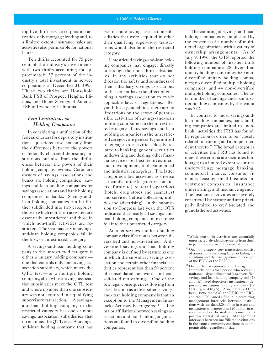top five thrift service corporation activities, only mortgage lending and, to a limited extent, insurance sales are activities also permissible for national banks.

Ten thrifts accounted for 75 percent of the industry's investments, with two thrifts accounting for approximately 57 percent of the industry's total investment in service corporations at December 31, 1995. These two thrifts are Household Bank FSB of Prospect Heights, Illinois, and Home Savings of America FSB of Irwindale, California.

## *Few Limitations on Holding Companies*

In considering a unification of the federal charters for depository institutions, questions arise not only from the differences between the powers of federally chartered depository institutions but also from the differences between the powers of their holding company owners. Corporate owners of savings associations and banks are holding companies: savings-and-loan holding companies for savings associations and bank holding companies for banks. Savings-andloan holding companies can be further subdivided into two categories: those in which non-thrift activities are essentially unrestricted<sup>9</sup> and those in which non-thrift activities are restricted. The vast majority of savingsand-loan holding companies fall in the first, or unrestricted, category.

A savings-and-loan holding company in the unrestricted category is either a unitary holding company one that controls only one savings association subsidiary, which meets the  $QTL$  test — or a multiple holding company, all of whose savings association subsidiaries meet the QTL test and where no more than one subsidiary was not acquired in a qualifying supervisory transaction.<sup>10</sup> A savingsand-loan holding company in the restricted category has one or more savings association subsidiaries that do not meet the QTL test. A savingsand-loan holding company that has

two or more savings association subsidiaries that were acquired in other than qualifying supervisory transactions would also be in the restricted category.

Unrestricted savings-and-loan holding companies may engage, directly or through their non-thrift subsidiaries, in any activities that do not threaten the safety and soundness of their subsidiary savings associations or that do not have the effect of enabling a savings association to evade applicable laws or regulations. Beyond these generalities, there are no limitations on the scope of permissible activities of savings-and-loan holding companies in the unrestricted category. Thus, savings-and-loan holding companies in the unrestricted category are generally permitted to engage in activities closely related to banking, general securities underwriting and dealing, other financial services, real-estate investment and development, and commercial and industrial enterprises. The latter categories allow activities as diverse as manufacturing (cigarettes, containers, furniture) to retail operations (hotels, drug stores and cosmetics) and services (refuse collection, utilities and advertising). In the submission to Congress last year, the OTS indicated that nearly all savings-andloan holding companies in existence fell into the unrestricted category.

Another savings-and-loan holding company classification is between diversified and non-diversified. A diversified savings-and-loan holding company is defined by statute as one in which the subsidiary savings association and certain other financial activities represent less than 50 percent of consolidated net worth and consolidated net earnings. One of the few legal consequences flowing from classification as a diversified savingsand-loan holding company is that an exception to the Management Interlocks Act may be triggered.<sup>11</sup> The major affiliations between savings associations and non-banking organizations are found in diversified holding companies.

The counting of savings-and-loan holding companies is complicated by the existence of a number of multitiered organizations with a variety of ownership arrangements. As of July 9, 1996, the OTS reported the following number of first-tier thrift holding companies: 28 diversified unitary holding companies; 650 nondiversified unitary holding companies; no diversified multiple holding companies; and 44 non-diversified multiple holding companies. The total number of savings-and-loan firsttier holding companies by this count was 722.

In contrast to most savings-andloan holding companies, bank holding companies are limited to "nonbank" activities the FRB has found, by regulation or order, to be "closely related to banking and a proper incident thereto." The broad categories of activities the FRB has found to meet these criteria are securities brokerage; to a limited extent securities underwriting; mortgage banking; commercial finance; consumer finance; leasing; small-business investment companies; insurance underwriting; and insurance agency. The insurance activities are severely constricted by statute and are principally limited to credit-related and grandfathered activities.

<sup>&</sup>lt;sup>9</sup> While non-thrift activities are essentially unrestricted, dividend payments from thrift to parent are restricted to avoid abuses.

<sup>10</sup> Qualifying supervisory transactions consist of transactions involving failed or failing institutions and the participation or oversight of the FDIC or the FSLIC.

<sup>11</sup> One of the exceptions to the Management Interlocks Act is for a person who serves simultaneously as a director of (1) a diversified savings-and-loan holding company and (2) an unaffiliated depository institution or depository institution holding company [12 U.S.C. §3204 (8)(A)]. Also, effective October 1, 1996, the OCC, the FDIC, the FRB, and the OTS issued a final rule permitting management interlocks between institutions with less than \$20 million in assets and institutions with more than \$20 million in assets that are both located in the same metropolitan statistical area. Management interlocks between unaffiliated institutions in the same community continue to be impermissible, regardless of size.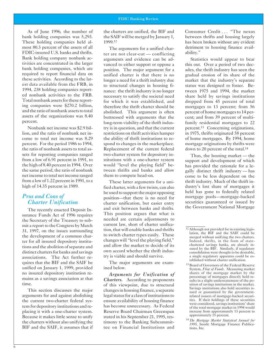As of June 1996, the number of bank holding companies was 5,293. These holding companies held almost 80.3 percent of the assets of all FDIC-insured U.S. banks and thrifts. Bank holding company nonbank activities are concentrated in the larger bank holding companies, which are required to report financial data on these activities. According to the latest data available from the FRB, in 1994, 238 holding companies reported nonbank activities to the FRB. Total nonbank assets for these reporting companies were \$270.2 billion, and the ratio of nonbank assets to total assets of the organizations was 8.40 percent.

Nonbank net income was \$2.9 billion, and the ratio of nonbank net income to total net income was 8.29 percent. For the period 1986 to 1994, the ratio of nonbank assets to total assets for reporting companies ranged from a low of 6.91 percent in 1991, to the high of 8.40 percent in 1994. Over the same period, the ratio of nonbank net income to total net income ranged from a low of 1.22 percent in 1991, to a high of 14.35 percent in 1989.

# *Pros and Cons of Charter Unification*

The recently enacted Deposit Insurance Funds Act of 1996 requires the Secretary of the Treasury to submit a report to the Congress by March 31, 1997, on the issues surrounding the development of a common charter for all insured depository institutions and the abolition of separate and distinct charters for banks and savings associations. The Act further requires that the BIF and the SAIF be unified on January 1, 1999, provided no insured depository institution remains as a savings association at that time.

This section discusses the major arguments for and against abolishing the current two-charter federal system for depository institutions and replacing it with a one-charter system. Because it makes little sense to unify the charters without also unifying the BIF and the SAIF, it assumes that if the charters are unified, the BIF and the SAIF will be merged by January 1, 1999.12

The arguments for a unified charter are not clear-cut — conflicting arguments and evidence can be advanced to either support or oppose a position. The major argument for a unified charter is that there is no longer a need for a thrift industry due to structural changes in housing finance: the thrift industry is no longer necessary to satisfy the societal need for which it was established, and therefore the thrift charter should be abolished. This argument is often buttressed with arguments that the long-term viability of the thrift industry is in question, and that the current restrictions on thrift activities hamper the ability of thrift institutions to respond to changes in the marketplace. Replacement of the current federal two-charter system for depository institutions with a one-charter system would "level the playing field" between thrifts and banks and allow them to compete head-on.

These latter arguments for a unified charter, with a few twists, can also be used to support the major opposing position—that there is no need for charter unification, but easier entry and exit between banks and thrifts. This position argues that what is needed are certain adjustments to current law, short of charter unification, that will enable banks and thrifts to switch charter types easily. These changes will "level the playing field," and allow the market to decide of its own accord whether the thrift industry is viable and should survive.

The major arguments are examined below.

*Arguments for Unification of Charters.* According to proponents of this viewpoint, due to structural changes in housing finance, a separate legal status for a class of institutions to ensure availability of housing finance has become unnecessary. As Federal Reserve Board Chairman Greenspan stated in his September 21, 1995, testimony to the Banking Subcommittee on Financial Institutions and

Consumer Credit... "The nexus between thrifts and housing largely has been broken without any evident detriment to housing finance availability."

Statistics would appear to bear this out. Over a period of two decades, the thrift industry has seen the gradual erosion of its share of the market that the industry's separate status was designed to foster. Between 1975 and 1994, the market share held by savings institutions dropped from 45 percent of total mortgages to 13 percent; from 56 percent of home mortgages to 14 percent; and from 39 percent of multifamily residential mortgages to 22 percent.13 Concerning originations, in 1975, thrifts originated 58 percent of home mortgages. By 1994, home mortgage originations by thrifts were down to 20 percent of the total.14

Thus, the housing market — the support and development of which has provided the rationale for a legally distinct thrift industry — has come to be less dependent on the thrift industry. Much of the thrift industry's lost share of mortgages it held has gone to federally related mortgage pools—mortgage-backed securities guaranteed or issued by the Government National Mortgage

<sup>12</sup> Although not provided for in existing legislation, the BIF and the SAIF could be merged without unifying the two charters. Indeed, thrifts, in the form of statechartered savings banks, are already insured by the BIF. Similarly, if regulatory consolidation were thought to be desirable, a single regulatory apparatus could be established without charter unification.

<sup>&</sup>lt;sup>13</sup> Board of Governors of the Federal Reserve System, *Flow of Funds.* Measuring market shares of the mortgage market by the percentage of mortgages directly held results in a slight understatement of the position of savings institutions in the market. Savings institutions also hold securities issued or guaranteed by the governmentrelated issuers of mortgage-backed securities. If their holdings of these securities were considered, savings institutions' share of the total mortgage market in 1994 would increase from approximately 13 percent to approximately 15 percent.

<sup>14</sup>*The Mortgage Market Statistical Annual for 1995*, Inside Mortgage Finance Publications, Inc.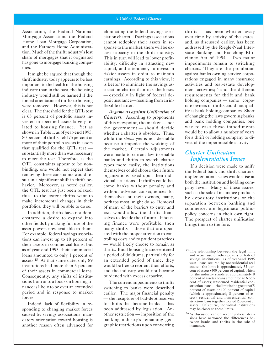Association, the Federal National Mortgage Association, the Federal Home Loan Mortgage Corporation, and the Farmers Home Administration. Much of the thrift industry's lost share of mortgages that it originated has gone to mortgage banking companies.

It might be argued that though the thrift industry today appears to be less important to the health of the housing industry than in the past, the housing industry would still be harmed if the forced orientation of thrifts to housing were removed. However, this is not clear. The threshold for the QTL test is 65 percent of portfolio assets invested in specified assets largely related to housing finance. Yet as shown in Table 1, as of year-end 1995, 80 percent of thrifts held 75 percent or more of their portfolio assets in assets that qualified for the QTL test substantially more than was necessary to meet the test. Therefore, as the QTL constraints appear to be nonbinding, one would not expect that removing these constraints would result in a significant shift in thrift behavior. Moreover, as noted earlier, the QTL test has just been relaxed; thus, to the extent thrifts want to make incremental changes in their portfolios, they will be able to do so.

In addition, thrifts have not demonstrated a desire to expand into other fields by making full use of the asset powers now available to them. For example, federal savings associations can invest up to 10 percent of their assets in commercial loans, but as of year-end 1995, their commercial loans amounted to only 1 percent of assets.15 At that same date, only 89 institutions had more than 5 percent of their assets in commercial loans. Consequently, any shifts of institutions from or to a focus on housing finance is likely to be over an extended period and in response to market forces.

Indeed, lack of flexibility in responding to changing market forces caused by savings associations' mandatory orientation toward housing is another reason often advanced for

eliminating the federal savings association charter. If savings associations cannot redeploy their assets in response to the market, there will be excess capacity in the thrift industry. This in turn will lead to lower profitability, difficulty in attracting new capital, and a tendency to invest in riskier assets in order to maintain earnings. According to this view, it is better to eliminate the savings association charter than risk the losses — especially in light of federal deposit insurance—resulting from an inflexible charter.

*Arguments against Unification of Charters.* According to proponents of this viewpoint, the market — not the government — should decide whether a charter is obsolete. Thus, while the *status quo* is not desirable because it impedes the workings of the market, if certain adjustments were made to current law to enable banks and thrifts to switch charter types more easily, the institutions themselves could choose their future organizations based upon their individual situations. If thrifts could become banks without penalty and without adverse consequences for themselves or their owners, many, perhaps most, might do so. Removal of many of the barriers to entry and exit would allow the thrifts themselves to decide their future. If housing finance were profitable, then many thrifts — those that are operated with the proper attention to controlling costs and to prudent practices — would likely choose to remain as thrifts. But if housing finance entered a period of doldrums, particularly for an extended period of time, they would be free to reorient their efforts, and the industry would not become burdened with excess capacity.

The current impediments to thrifts switching to banks were described earlier. The major financial penalty — the recapture of bad-debt reserves for thrifts that became banks — has been addressed by legislation. Another restriction — imposition of the banking industry's remaining geographic restrictions upon converting thrifts — has been whittled away over time by activity of the states, and, as discussed earlier, has been addressed by the Riegle-Neal Interstate Banking and Branching Efficiency Act of 1994. Two major impediments remain to switching charters. They are the prohibition against banks owning service corporations engaged in many insurance activities and real-estate development activities;16 and the different requirements for thrift and bank holding companies — some corporate owners of thrifts could not qualify as bank holding companies. Short of changing the laws governing banks and bank holding companies, one way to ease these impediments would be to allow a number of years for a thrift or holding company to divest of the impermissible activity.

# *Charter Unification Implementation Issues*

If a decision were made to unify the federal bank and thrift charters, implementation issues would arise at both the institution and holding company level. Many of these issues, such as the sale of insurance products by depository institutions or the separation between banking and commerce, are legitimate publicpolicy concerns in their own right. The prospect of charter unification brings them to the fore.

<sup>&</sup>lt;sup>15</sup> The relationship between the legal limit and actual use of other powers of federal savings institutions as of year-end 1995 was: loans secured by nonresidential real estate—the limit is approximately 32 percent of assets (400 percent of capital, which for the industry stands at approximately 8 percent of assets), loans amounted to 6 percent of assets; unsecured residential construction loans— the limit is the greater of 5 percent of assets or 100 percent of capital (which is approximately 8 percent of assets), residential and nonresidential construction loans together totaled 2 percent of assets. Of course, individual institutions may be closer to these limits.

<sup>16</sup> As discussed earlier, recent judicial decisions have narrowed the differences between banks and thrifts in the sale of insurance.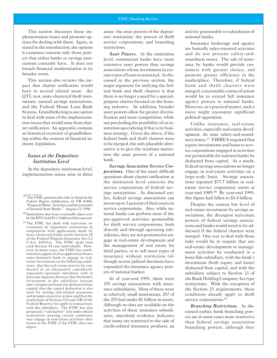This section discusses these implementation issues and presents options for dealing with them. Again, as stated in the introduction, the options it examines concern only those powers that either banks or savings associations currently have. It does not broach financial modernization in its broader sense.

This section also reviews the impact that charter unification would have in several related areas: the QTL test, state-chartered thrift institutions, mutual savings associations, and the Federal Home Loan Bank System. Grandfathering is one option to deal with some of the implementation issues that would arise from charter unification. An appendix contains an historical overview of grandfathering within the context of financial industry legislation.

## *Issues at the Depository Institution Level*

At the depository institution level, implementation issues arise in three

areas: the asset powers of the depository institution; the powers of thrift service corporations; and branching restrictions.

*Asset Powers.* At the institution level, commercial banks have more extensive asset powers than savings associations whose investment in certain types of loans is restricted. As discussed in the previous section, the major argument for unifying the federal bank and thrift charters is that there is no longer a need for a specialpurpose charter focused on the housing industry. In addition, broader asset powers allow for greater diversification and more competition, while not precluding the possibility of an institution specializing if that is its business strategy. Given the above, if the federal bank and thrift charters were to be merged, the only plausible alternative is to give the resultant institution the asset powers of a national bank.

*Savings Association Service Corporations.* One of the more difficult questions about charter unification at the institution level concerns the service corporations of federal savings associations. As discussed earlier, federal savings associations can invest up to 3 percent of their assets in service corporations. Also, while national banks can perform most of the pre-approved activities permissible for thrift service corporations, both directly and through operating subsidiaries, they are not permitted to engage in real-estate development and the management of real estate for third parties, or to sell most types of insurance without restriction (although recent judicial decisions have expanded the insurance agency powers of national banks).

As of year-end 1995, there were 255 savings associations with insurance subsidiaries. Most of these were at relatively small institutions, 207 of the 255 had under \$1 billion in assets. Although no data are available on the activities of these insurance subsidiaries, anecdotal evidence indicates that many are restricted to the sale of credit-related insurance products, an

activity permissible to subsidiaries of national banks.

Insurance brokerage and agency are basically sales-oriented activities and do not present safety-andsoundness issues. The sale of insurance by banks would provide customers with greater choice, and promote greater efficiency in the marketplace. Therefore, if federal bank and thrift charters were merged, a reasonable course of action would be to extend full insurance agency powers to national banks. However, as a practical matter, such a move might encounter significant political opposition.

Unlike insurance, real-estate activities, especially real-estate development, do raise safety-and-soundness issues.17 FIRREA required that equity investments and loans to service corporations engaged in activities not permissible for national banks be deducted from capital. As a result, federal savings associations no longer engage in real-estate activities on a large-scale basis. Savings associations reported \$77.7 billion in realestate service corporation assets at year-end 1989.18 By year-end 1995, this figure had fallen to \$3.4 billion.

Despite the current low level of real-estate investment by savings associations, the divergent real-estate powers of federal savings associations and banks would need to be addressed if the federal charters were merged. One way to deal with those risks would be to require that any real-estate development or management activities be conducted in a bona fide subsidiary, with the bank's investment (both equity and loans) deducted from capital, and with the subsidiary subject to Section 23 of the Bank Holding Company Act type restrictions. With the exception of the Section 23 requirements, these conditions already apply to thrift service corporations.<sup>19</sup>

*Branching Restrictions.* As discussed earlier, bank branching powers are in some cases more restrictive than federal savings association branching powers, although they

<sup>&</sup>lt;sup>17</sup> The FDIC presents the risks in detail in the *Federal Register* publication, 61 FR 43486, "Proposed Rule: Activities and Investments of Insured State Banks," August 23, 1996.

<sup>18</sup> Institutions that were eventually taken over by the RTC held \$11.1 billion of this amount.

<sup>19</sup> The FDIC has dealt with real-estate investments by depository institutions in conjunction with applications made by state-chartered banks under Section 24 of the Federal Deposit Insurance Act (12 U.S.C. §1831a). The FDIC deals with each Section 24 case individually. However, in many cases, the FDIC has conditioned its approval of an application from a state-chartered bank to engage in realestate investment on the following conditions: that the real-estate activity be conducted in an adequately capitalized, separately-operated subsidiary with at least one separate director; that the bank's investment in the subsidiary (except arm's-length end loans) be deducted from capital; that the capital deduction is also used for setting risk-related premiums and prompt corrective action; and that the restrictions of Section 23A and 23B of the Federal Reserve Act apply to transactions with the subsidiary. The FDIC has also proposed a "safe harbor" rule under which institutions meeting certain conditions may engage in real-estate activities after notice to the FDIC if the FDIC does not object.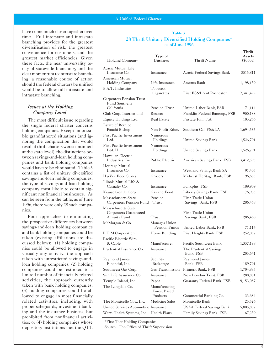have come much closer together over time. Full interstate and intrastate branching provides for the greatest diversification of risk, the greatest convenience for customers, and the greatest market efficiencies. Given these facts, the near universality today of statewide branching, and the clear momentum to interstate branching, a reasonable course of action should the federal charters be unified would be to allow full interstate and intrastate branching.

# *Issues at the Holding Company Level*

The most difficult issue regarding the single federal charter concerns holding companies. Except for possible grandfathered situations (and ignoring the complication that would result if thrift charters were continued at the state level), the distinctions between savings-and-loan holding companies and bank holding companies would have to be eliminated. Table 3 contains a list of unitary diversified savings-and-loan holding companies, the type of savings-and-loan holding company most likely to contain significant nonfinancial businesses. As can be seen from the table, as of June 1996, there were only 28 such companies.

Four approaches to eliminating the prospective differences between savings-and-loan holding companies and bank holding companies could be taken (existing affiliations are discussed below): (1) holding companies could be allowed to engage in virtually any activity, the approach taken with unrestricted savings-andloan holding companies; (2) holding companies could be restricted to a limited number of financially related activities, the approach currently taken with bank holding companies; (3) holding companies could be allowed to engage in most financially related activities, including, with proper safeguards, investment banking and the insurance business, but prohibited from nonfinancial activities; or (4) holding companies whose depository institutions met the QTL

#### Table 3 28 Thrift Unitary Diversified Holding Companies\* as of June 1996

| <b>Holding Company</b>                       | Type of<br><b>Business</b>            | <b>Thrift Name</b>                  | Thrift<br>Assets<br>$($ \$000s $)$ |
|----------------------------------------------|---------------------------------------|-------------------------------------|------------------------------------|
| Acacia Mutual Life                           |                                       |                                     |                                    |
| Insurance Co.<br>American Mutual             | Insurance                             | Acacia Federal Savings Bank         | \$515,811                          |
| Holding Company                              | Life Insurance                        | Amerus Bank                         | 1,198,139                          |
| <b>B.A.T.</b> Industries                     | Tobacco,<br>Cigarettes                | First FS&LA of Rochester            | 7,341,422                          |
| Carpenters Pension Trust<br>Fund Southern    |                                       |                                     |                                    |
| California                                   | Pension Trust                         | United Labor Bank, FSB              | 71,114                             |
| Club Corp. International                     | Resorts                               | Franklin Federal Bancorp., FSB      | 900,188                            |
| Equity Holdings Ltd.                         | <b>Real Estate</b>                    | Firstate Fin., F.A.                 | 103,266                            |
| <b>Estate of Bernice</b>                     |                                       |                                     |                                    |
| Pauahi Bishop                                | Non-Profit Educ.                      | Southern Cal. FS&LA                 | 1,694,535                          |
| <b>First Pacific Investment</b><br>Ltd.      | Numerous<br>Holdings                  | United Savings Bank                 | 1,526,791                          |
| <b>First Pacific Investment</b><br>$Ltd.$ II | Numerous<br>Holdings                  | United Savings Bank                 | 1,526,791                          |
| Hawaiian Electric<br>Industries, Inc.        | <b>Public Electric</b>                | American Savings Bank, FSB          | 3,412,595                          |
| Heritage Mutual<br>Insurance Co.             | Insurance                             | Westland Savings Bank SA            | 91,405                             |
| Hy-Vee Food Stores                           |                                       |                                     |                                    |
| Illinois Mutual Life &                       | Grocery                               | Midwest Heritage Bank, FSB          | 96,685                             |
| Casualty Co.                                 | Insurance                             | Bankplus, FSB                       | 189,909                            |
| Krause Gentle Corp.                          | Gas and Food                          | Liberty Savings Bank, FSB           | 76,903                             |
| Massachusetts State                          | Pension                               | First Trade Union                   |                                    |
| Carpenters Pension Fund                      | Trust                                 | Savings Bank, FSB                   | 286,468                            |
| Massachusetts State<br>Carpenters Guaranteed |                                       | First Trade Union                   |                                    |
| <b>Annuity Fund</b>                          | Trust                                 | Savings Bank, FSB                   | 286,468                            |
| McMorgan & Co.                               | Manages Union<br>Pension Funds        | United Labor Bank, FSB              | 71,114                             |
| P H M Corporation                            | Home Building                         | First Heights Bank, FSB             | 252,057                            |
| Pacific Electric Wire                        |                                       |                                     |                                    |
| & Cable                                      | Manufacturer                          | Pacific Southwest Bank              | 1,337,198                          |
| Prudential Insurance Co.                     | Insurance                             | The Prudential Savings<br>Bank, FSB | 203,641                            |
| Raymond James                                | Security                              | Raymond James                       |                                    |
| Financial, Inc.                              | <b>Brokerage</b><br>Gas Transmission  | Bank, FSB                           | 189,791                            |
| Southwest Gas Corp.                          |                                       | Primerit Bank, FSB                  | 1,704,885                          |
| Sun Life Assurance Co.                       | Insurance                             | New London Trust, FSB               | 288,881                            |
| Temple Inland, Inc.                          | Paper                                 | Guaranty Federal Bank, FSB          | 9,153,087                          |
| The Langdale Co.                             | Manufacturing-<br><b>Forest Based</b> |                                     |                                    |
|                                              | Products                              | Commercial Banking Co.              | 33,684                             |
| The Monticello Cos., Inc.                    | Medicine Sales                        | Monticello Bank                     | 23,526                             |
| United Services Automobile Insurance         |                                       | <b>USAA Federal Savings Bank</b>    | 5,805,837                          |
| Watts Health Systems, Inc. Health Plans      |                                       | Family Savings Bank, FSB            | 167,239                            |

\*First-Tier Holding Companies

Source: The Office of Thrift Supervision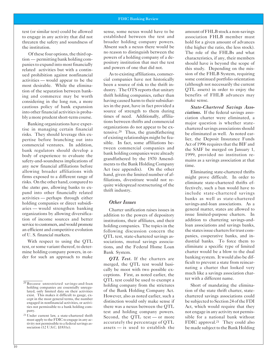test (or similar test) could be allowed to engage in any activity that did not threaten the safety and soundness of the institution.

Of these four options, the third option — permitting bank holding companies to expand into most financially related activities but with a continued prohibition against nonfinancial activities — would appear to be the most desirable. While the elimination of the separation between banking and commerce may be worth considering in the long run, a more cautious policy of bank expansion into other financial activities is probably a more prudent short-term course.

Banking organizations have expertise in managing certain financial risks. They should leverage this expertise before branching out into commercial ventures. In addition, bank regulators should develop a body of experience to evaluate the safety-and-soundness implications of any new financial affiliations before allowing broader affiliations with firms exposed to a different range of risks. On the other hand, compared to the *status quo*, allowing banks to expand into other financially related activities — perhaps through either holding companies or direct subsidiaries — would strengthen banking organizations by allowing diversification of income sources and better service to customers, and would promote an efficient and competitive evolution of U. S. financial markets.

With respect to using the QTL test, or some variant thereof, to determine holding company powers, in order for such an approach to make sense, some nexus would have to be established between the test and broader holding company powers. Absent such a nexus there would be no reason to distinguish between the powers of a holding company of a depository institution that met the test and powers of one that did not.

As to existing affiliations, commercial companies have not historically been a source of risk to the thrift industry. The OTS reports that unitary thrift holding companies, rather than having caused harm to their subsidiaries in the past, have in fact provided a source of strength to them during times of need. Additionally, affiliations between thrifts and commercial organizations do not appear to be extensive.20 Thus, the grandfathering of existing relationships might be feasible. In fact, some affiliations between commercial companies and bank holding companies were already grandfathered by the 1970 Amendments to the Bank Holding Company Act (see appendix). On the other hand, given the limited number of affiliations, divestiture would not require widespread restructuring of the thrift industry.

### *Other Issues*

Charter unification raises issues in addition to the powers of depository institutions, their affiliates, and their holding companies. The topics in the following discussion concern the QTL test, state-chartered savings associations, mutual savings associations, and the Federal Home Loan Bank System.

*QTL Test.* If the charters are merged, the QTL test would basically be moot with two possible exceptions. First, as noted earlier, the QTL test could be used to exempt a holding company from the strictures of the Bank Holding Company Act. However, also as noted earlier, such a distinction would only make sense if there was a nexus between the QTL test and holding company powers. Second, the QTL test — or more accurately the percentage of QTL assets — is used to establish the amount of FHLB stock a non-savings association FHLB member must hold for a given amount of advances (the higher the ratio, the less stock). The role of the FHLBs and what characteristics, if any, their members should have is beyond the scope of this study. Depending on the mission of the FHLB System, requiring some continued portfolio orientation (although not necessarily the current QTL assets) in order to enjoy the benefits of FHLB advances may make sense.

*State-Chartered Savings Associations*. If the federal savings association charter were eliminated, a major question is whether statechartered savings associations should be eliminated as well. As noted earlier, the Deposit Insurance Funds Act of 1996 requires that the BIF and the SAIF be merged on January 1, 1999, provided no institution remains as a savings association at that time.

Eliminating state-chartered thrifts might prove difficult. In order to eliminate state-chartered thrifts effectively, such a ban would have to include state-chartered savings banks as well as state-chartered savings-and-loan associations. As a general matter, states are allowed to issue limited-purpose charters. In addition to chartering savings-andloan associations and savings banks, the states issue charters for trust companies, cooperative banks, and industrial banks. To force them to eliminate a specific type of limited charter would be a blow to the dual banking system. It would also be difficult to prevent a state from reincarnating a charter that looked very much like a savings association charter with a different name.

Short of mandating the elimination of the state thrift charter, statechartered savings associations could be subjected to Section 24 of the FDI Act, which would require that they not engage in any activity not permissible for a national bank without FDIC approval.<sup>21</sup> They could also be made subject to the Bank Holding

<sup>20</sup> Because unrestricted savings-and-loan holding companies are essentially unregulated, only limited data on their activities exist. This makes it difficult to gauge, except in the most general terms, the number engaged in nonfinancial activities, or activities not permissible to a bank holding company.

<sup>21</sup> Under current law, a state-chartered thrift must apply to the FDIC to engage in any activity not permissible to a federal savings association (12 U.S.C. §1831e).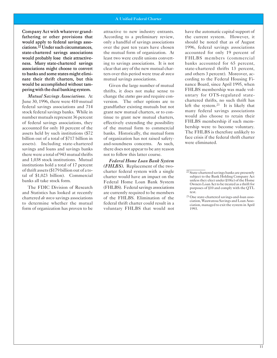Company Act with whatever grandfathering or other provisions that would apply to federal savings asso ciations.<sup>22</sup> Under such circumstances, state-chartered savings associations would probably lose their attractiveness. Many state-chartered savings associations might choose to convert to banks and some states might elimi nate their thrift charters, but this would be accomplished without tampering with the dual banking system.

*Mutual Savings Associations*. At June 30, 1996, there were 410 mutual federal savings associations and 714 stock federal savings banks. While in number mutuals represent 36 percent of federal savings associations, they accounted for only 10 percent of the assets held by such institutions (\$72 billion out of a total of \$717 billion in assets). Including state-chartered savings and loans and savings banks there were a total of 943 mutual thrifts and 1,038 stock institutions. Mutual institutions hold a total of 17 percent of thrift assets (\$179 billion out of a total of \$1,023 billion). Commercial banks all take stock form.

The FDIC Division of Research and Statistics has looked at recently chartered *de novo* savings associations to determine whether the mutual form of organization has proven to be

attractive to new industry entrants. According to a preliminary review, only a handful of savings associations over the past ten years have chosen the mutual form of organization. At least two were credit unions converting to savings associations. It is not clear that any of the new mutual charters over this period were true *de novo* mutual savings associations.

Given the large number of mutual thrifts, it does not make sense to change the *status quo* and require conversion. The other options are to grandfather existing mutuals but not grant new mutual charters, or to continue to grant new mutual charters, effectively extending the possibility of the mutual form to commercial banks. Historically, the mutual form of organization has not raised safetyand-soundness concerns. As such, there does not appear to be any reason not to follow this latter course.

*Federal Home Loan Bank System (FHLBS).* Replacement of the twocharter federal system with a single charter would have an impact on the Federal Home Loan Bank System (FHLBS). Federal savings associations are currently required to be members of the FHLBS. Elimination of the federal thrift charter could result in a voluntary FHLBS that would not have the automatic capital support of the current system. However, it should be noted that as of August 1996, federal savings associations accounted for only 19 percent of FHLBS members (commercial banks accounted for 65 percent, state-chartered thrifts 13 percent, and others 3 percent). Moreover, according to the Federal Housing Finance Board, since April 1995, when FHLBS membership was made voluntary for OTS-regulated statechartered thrifts, no such thrift has left the system.23 It is likely that many federal savings associations would also choose to retain their FHLBS membership if such membership were to become voluntary. The FHLBS is therefore unlikely to face crisis if the federal thrift charter were eliminated.

<sup>&</sup>lt;sup>22</sup> State-chartered savings banks are presently subject to the Bank Holding Company Act unless they elect under §10(e) of the Home Owners Loan Act to be treated as a thrift for purposes of §10 and comply with the QTL test.

<sup>23</sup> One state-chartered savings-and-loan association, Wauwatosa Savings and Loan Association, managed to exit the system in April 1993.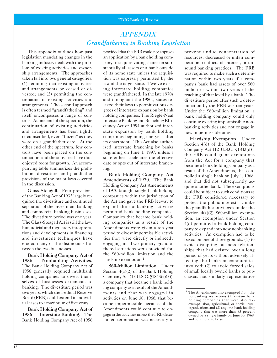# *APPENDIX Grandfathering in Banking Legislation*

This appendix outlines how past legislation mandating changes in the banking industry dealt with the problem of existing activities and ownership arrangements. The approaches taken fall into two general categories: (1) requiring that existing activities and arrangements be ceased or divested; and (2) permitting the continuation of existing activities and arrangements. The second approach is often termed "grandfathering" and itself encompasses a range of controls. At one end of the spectrum, the continuation of existing activities and arrangements has been tightly circumscribed, even "frozen" as they were on a grandfather date. At the other end of the spectrum, few controls have been placed on the continuation, and the activities have thus enjoyed room for growth. An accompanying table summarizes the prohibition, divestiture, and grandfather provisions of the major laws covered in the discussion.

Glass-Steagall. Four provisions of the Banking Act of 1933 largely required the divestiture and continued separation of the investment banking and commercial banking businesses. The divestiture period was one year. The Glass-Steagall Act is still the law, but judicial and regulatory interpretations and developments in financing and investment techniques have eroded many of the distinctions between the two businesses.

Bank Holding Company Act of 1956 — Nonbanking Activities. The Bank Holding Company Act of 1956 generally required multibank holding companies to divest themselves of businesses extraneous to banking. The divestiture period was two years, which the Federal Reserve Board (FRB) could extend in individual cases to a maximum of five years.

Bank Holding Company Act of 1956 — Interstate Banking. The Bank Holding Company Act of 1956

provided that the FRB could not approve an application by a bank holding company to acquire voting shares on substantially all assets of a bank outside of its home state unless the acquisition was expressly permitted by the law of the target state. Twelve existing interstate holding companies were grandfathered. In the late 1970s and throughout the 1980s, states relaxed their laws to permit various degrees of interstate expansion by bank holding companies. The Riegle-Neal Interstate Banking and Branching Efficiency Act of 1994 authorized interstate expansion by bank holding companies beginning one year after its enactment. The Act also authorized interstate branching by banks beginning on June 1, 1997, unless a state either accelerates the effective date or opts out of interstate branching.

Bank Holding Company Act Amendments of 1970. The Bank Holding Company Act Amendments of 1970 brought single-bank holding companies within the jurisdiction of the Act and gave the FRB leeway to expand the nonbanking activities permitted bank holding companies. Companies that became bank holding companies as a result of the Amendments were given a ten-year period to divest impermissible activities they were directly or indirectly engaging in. Two primary grandfathered situations were provided for, the \$60-million limitation and the hardship exemption.<sup>1</sup>

\$60-Million Limitation. Under Section 4(a)(2) of the Bank Holding Company Act (12 U.S.C. §1843(a)(2)), a company that became a bank holding company as a result of the Amendments and that was engaged in activities on June 30, 1968, that became impermissible because of the Amendments could continue to engage in the activities unless the FRB determined termination was necessary to prevent undue concentration of resources, decreased or unfair competition, conflicts of interest, or unsound banking practices. The FRB was required to make such a determination within two years if a company's bank had assets of over \$60 million or within two years of the reaching of that level by a bank. The divestiture period after such a determination by the FRB was ten years. Under the \$60-million limitation, a bank holding company could only continue existing impermissible nonbanking activities and not engage in new impermissible ones.

Hardship Exemption. Under Section 4(d) of the Bank Holding Company Act (12 U.S.C. §1843(d)), the FRB could grant exemptions from the Act for a company that became a bank holding company as a result of the Amendments, that controlled a single bank on July 1, 1968, and that did not subsequently acquire another bank. The exemptions could be subject to such conditions as the FRB considered necessary to protect the public interest. Unlike the grandfather privileges under the Section  $4(a)(2)$  \$60-million exemption, an exemption under Section 4(d) permitted a bank holding company to expand into new nonbanking activities. An exemption had to be based on one of three grounds: (1) to avoid disrupting business relationships that had existed over a long period of years without adversely affecting the banks or communities involved; (2) to avoid forced sales of small locally owned banks to purchasers not similarly representative

<sup>&</sup>lt;sup>1</sup> The Amendments also exempted from the nonbanking restrictions (1) certain bank holding companies that were also taxexempt labor, agricultural, or horticultural organizations and (2) any one-bank holding company that was more than 85 percent owned by a single family on June 30, 1968, and continued to be so.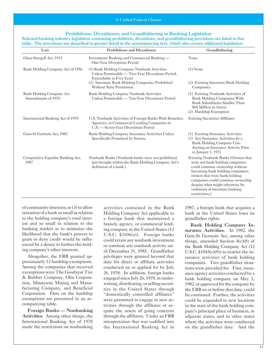#### Prohibitions, Divestitures, and Grandfathering in Banking Legislation

Selected banking industry legislation containing prohibition, divestiture, and grandfathering provisions are listed in this table. The provisions are described in greater detail in the accompanying text, which also covers additional legislation.

| Law                                                   | <b>Prohibitions and Divestitures</b>                                                                                                            | Grandfathering                                                                                                                                                                                                                                                                                                 |
|-------------------------------------------------------|-------------------------------------------------------------------------------------------------------------------------------------------------|----------------------------------------------------------------------------------------------------------------------------------------------------------------------------------------------------------------------------------------------------------------------------------------------------------------|
| Glass-Steagall Act, 1933                              | Investment Banking and Commercial Banking —<br>One-Year Divestiture Period                                                                      | None                                                                                                                                                                                                                                                                                                           |
| Bank Holding Company Act of 1956                      | (1) Bank Holding Company Nonbank Activities<br>Unless Permissible — Two-Year Divestiture Period,<br><b>Extendable to Five Years</b>             | $(1)$ None                                                                                                                                                                                                                                                                                                     |
|                                                       | (2) Interstate Bank Holding Companies Prohibited<br><b>Without State Permission</b>                                                             | (2) Existing Interstate Bank Holding<br>Companies                                                                                                                                                                                                                                                              |
| <b>Bank Holding Company Act</b><br>Amendments of 1970 | Bank Holding Company Nonbank Activities<br>Unless Permissible — Ten-Year Divestiture Period                                                     | (1) Existing Nonbank Activities of<br>Bank Holding Companies With<br>Bank Subsidiaries Smaller Than<br>\$60 Million in Assets<br>(2) Hardship Exemption                                                                                                                                                        |
| International Banking Act of 1978                     | U.S. Nonbank Activities of Foreign Banks With Branches,<br>Agencies, or Commercial Lending Companies in<br>U.S. — Seven-Year Divestiture Period | <b>Existing Securities Affiliates</b>                                                                                                                                                                                                                                                                          |
| Garn-St Germain Act, 1982                             | Bank Holding Company Insurance Activities Unless<br>Specifically Permitted by Statute                                                           | (1) Existing Insurance Activities<br>(2) Any Insurance Activities by a<br>Bank Holding Company Con-<br>ducting an Insurance Activity Prior<br>to January 1, 1971                                                                                                                                               |
| Competitive Equality Banking Act,<br>1987             | Nonbank Banks (Nonbank banks were not prohibited,<br>just brought within the Bank Holding Company Act's<br>definition of a bank.)               | Existing Nonbank Banks (Owners that<br>were not bank holding companies<br>could continue ownership without<br>becoming bank holding companies;<br>owners that were bank holding<br>companies could continue ownership<br>despite what might otherwise be<br>violations of interstate banking<br>restrictions.) |

of community interests; or (3) to allow activities contained in the Bank 1987, a foreign bank that acquires a

made the restrictions on nonbanking the International Banking Act in on the grandfather date. And the

retention of a bank so small in relation Holding Company Act applicable to bank in the United States loses its to the holding company's total inter-<br>est and so small in relation to the branch, agency, or commercial lend-<br>Rank Holding est and so small in relation to the bank, agency, or commercial lend-<br>
banking market as to minimize the ing company in the United States (12<br>
likelihood that the bank's powers to U.S.C. §3106(a)). Foreign banks<br>
grant or Altogether, the FRB granted ap-<br>privileges were granted beyond that surance activities of bank holding<br>proximately 12 hardship exemptions. date for direct or affiliate activities companies. Two grandfather situaproximately 12 hardship exemptions. date for direct or affiliate activities companies. Two grandfather situa-<br>Among the companies that received conducted on or applied for by July tions were provided for. First insur-Among the companies that received<br>
exemptions were The Goodyear Tire 26, 1978. In addition, foreign banks<br>
& Rubber Company, Olin Corpora-<br>
engaged since July 26, 1978, in under-<br>
tion, Minnesota Mining and Manu-<br>
facturin Foreign Banks — Nonbanking quire the assets of going concerns pany's principal place of business, in Activities. Among other things, the through the affiliates. Under an FRB adjacent states, and in other states International Banking Act of 1978 interpretation that was codified into where the activities were conducted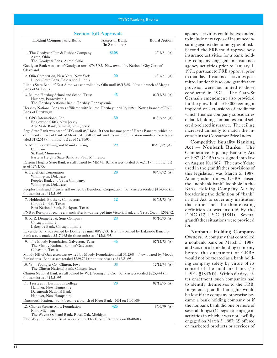| Holding Company and Bank                                                                                                                                                                                                                                   | <b>Assets of Bank</b><br>(in \$ millions) | <b>Board Action</b> |
|------------------------------------------------------------------------------------------------------------------------------------------------------------------------------------------------------------------------------------------------------------|-------------------------------------------|---------------------|
| 1. The Goodyear Tire & Rubber Company<br>Akron, Ohio<br>The Goodyear Bank, Akron, Ohio                                                                                                                                                                     | \$108                                     | $12/07/71$ (A)      |
| Goodyear Bank was part of Goodyear until 07/15/82. Now owned by National City Corp of<br>Cleveland.                                                                                                                                                        |                                           |                     |
| 2. Olin Corporation, New York, New York<br>Illinois State Bank, East Alton, Illinois                                                                                                                                                                       | 20                                        | $12/07/71$ (A)      |
| Illinois State Bank of East Alton was controlled by Olin until 08/12/85. Now a branch of Magna<br>Bank of St. Louis.                                                                                                                                       |                                           |                     |
| 3. Milton Hershey School and School Trust<br>Hershey, Pennsylvania<br>The Hershey National Bank, Hershey, Pennsylvania                                                                                                                                     | 43                                        | $02/17/72$ (A)      |
| Hershey National Bank was affiliated with Milton Hershey until 03/14/86. Now a branch of PNC<br>Bank of Pittsburgh.                                                                                                                                        |                                           |                     |
| 4. CPC International, Inc.<br>Englewood Cliffs, New Jersey<br>Argo State Bank, Summit, New Jersey                                                                                                                                                          | 30                                        | $03/23/72$ (A)      |
| Argo State Bank was part of CPC until 08/04/82. It then became part of Harris Bancorp, which be-<br>came a subsidiary of Bank of Montreal. Still a bank under same identification number. Assets to-<br>taled $$192,517$ (in thousands) as of $12/31/95$ . |                                           |                     |
| 5. Minnesota Mining and Manufacturing<br>Company<br>St. Paul, Minnesota<br>Eastern Heights State Bank, St. Paul, Minnesota                                                                                                                                 | 29                                        | $05/09/72$ (A)      |
| Eastern Heights State Bank is still owned by MMM. Bank assets totaled \$376,151 (in thousands)<br>as of 12/31/95.                                                                                                                                          |                                           |                     |
| 6. Beneficial Corporation<br>Wilmington, Delaware<br>Peoples Bank and Trust Company,<br>Wilmington, Delaware<br>Peoples Bank and Trust is still owned by Beneficial Corporation. Bank assets totaled \$414,430 (in                                         | 20                                        | $08/09/72$ (A)      |
| thousands) as of $12/31/95$ .                                                                                                                                                                                                                              |                                           |                     |
| 7. Heldenfels Brothers, Contractors<br>Corpus Christi, Texas<br>First National Bank, Rockport, Texas<br>FNB of Rockport became a branch after it was merged into Victoria Bank and Trust Co. on 12/02/92.                                                  | 12                                        | $01/05/73$ (A)      |
| 8. R. R. Donnelley & Sons Company                                                                                                                                                                                                                          | 28                                        | $05/16/73$ (A)      |
| Chicago, Illinois<br>Lakeside Bank, Chicago, Illinois<br>Lakeside Bank was owned by Donnelley until 09/28/93. It is now owned by Lakeside Bancorp.<br>Bank assets totaled \$217,965 (in thousands) as of 12/31/95.                                         |                                           |                     |
| 9. The Moody Foundation, Galveston, Texas<br>The Moody National Bank of Galveston<br>Galveston, Texas                                                                                                                                                      | 46                                        | $07/12/73$ (A)      |
| Moody NB of Galveston was owned by Moody Foundation until 05/25/84. Now owned by Moody<br>Bankshares. Bank assets totaled \$289,724 (in thousands) as of 12/31/95.                                                                                         |                                           |                     |
| 10. W. J. Young & Co., Clinton, Iowa<br>The Clinton National Bank, Clinton, Iowa                                                                                                                                                                           | 38                                        | $12/12/74$ (A)      |
| Clinton National Bank is still owned by W. J. Young and Co. Bank assets totaled \$225,444 (in<br>thousands) as of $12/31/95$ .                                                                                                                             |                                           |                     |
| 11. Trustees of Dartmouth College<br>Hanover, New Hampshire<br>Dartmouth National Bank<br>Hanover, New Hampshire                                                                                                                                           | 20                                        | $02/12/75$ (A)      |
| Dartmouth National Bank became a branch of Fleet Bank - NH on 10/01/89.<br>12. Charles Stewart Mott Foundation                                                                                                                                             | 425                                       | $8/06/79$ (A)       |
| Flint, Michigan<br>The Wayne Oakland Bank, Royal Oak, Michigan<br>The Wayne Oakland Bank was acquired by First of America on 06/06/83.                                                                                                                     |                                           |                     |

Section  $4(d)$  Approvals agency activities could be expanded to include new types of insurance insuring against the same types of risk. Second, the FRB could approve new insurance activities for a bank holding company engaged in insurance agency activities prior to January 1, 1971, pursuant to FRB approval prior to that day. Insurance activities permitted under this second grandfather provision were not limited to those conducted in 1971. The Garn-St Germain amendment also provided for the growth of a \$10,000 ceiling it imposed on extensions of credit for which finance company subsidiaries of bank holding companies could sell credit-related insurance. The ceiling increased annually to match the increase in the Consumer Price Index.

> Competitive Equality Banking Act — Nonbank Banks. The Competitive Equality Banking Act of 1987 (CEBA) was signed into law on August 10, 1987. The cut-off date used in the grandfather provisions of this legislation was March 5, 1987. Among other things, CEBA closed the "nonbank bank" loophole in the Bank Holding Company Act by broadening the definition of "bank" in that Act to cover any institution that either met the then-existing definition or was insured by the FDIC (12 U.S.C. §1841). Several grandfather situations were provided for:

> Nonbank Holding Company Owners. A company that controlled a nonbank bank on March 5, 1987, and was not a bank holding company before the enactment of CEBA would not be treated as a bank holding company solely by virtue of its control of the nonbank bank (12 U.S.C. §1843(f)). Within 60 days after enactment, such companies had to identify themselves to the FRB. In general, grandfather rights would be lost if the company otherwise became a bank holding company or if the nonbank bank did one or more of several things: (1) began to engage in activities in which it was not lawfully engaged on March 5, 1987; (2) offered or marketed products or services of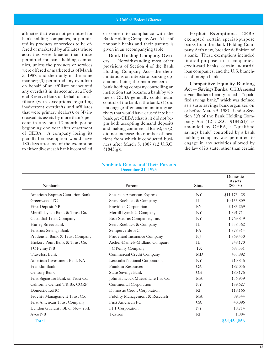affiliates that were not permitted for bank holding companies, or permitted its products or services to be offered or marketed by affiliates whose activities were broader than those permitted for bank holding companies, unless the products or services were offered or marketed as of March 5, 1987, and then only in the same manner; (3) permitted any overdraft on behalf of an affiliate or incurred any overdraft in its account at a Federal Reserve Bank on behalf of an affiliate (with exceptions regarding inadvertent overdrafts and affiliates that were primary dealers); or (4) increased its assets by more than 7 percent in any one 12-month period beginning one year after enactment of CEBA. A company losing its grandfather exemption would have 180 days after loss of the exemption to either divest each bank it controlled

or come into compliance with the Bank Holding Company Act. A list of nonbank banks and their parents is given in an accompanying table.

Bank Holding Company Owners. Notwithstanding most other provisions of Section 4 of the Bank Holding Company Act—the thenlimitations on interstate banking operations being the main concern—a bank holding company controlling an institution that became a bank by virtue of CEBA generally could retain control of the bank if the bank: (1) did not engage after enactment in any activity that would have caused it to be a bank pre-CEBA (that is, it did not begin both accepting demand deposits and making commercial loans); or (2) did not increase the number of locations from which it conducted business after March 5, 1987 (12 U.S.C.  $§1843(g)$ ).

Explicit Exemptions. CEBA exempted certain special-purpose banks from the Bank Holding Company Act's new, broader definition of a bank. These exemptions included limited-purpose trust companies, credit-card banks, certain industrial loan companies, and the U.S. branches of foreign banks.

Competitive Equality Banking Act — Savings Banks. CEBA created a grandfathered entity called a "qualified savings bank," which was defined as a state savings bank organized on or before March 5, 1987. Under Section 3(f) of the Bank Holding Company Act (12 U.S.C. §1842(f)) as amended by CEBA, a "qualified savings bank" controlled by a bank holding company was permitted to engage in any activities allowed by the law of its state, other than certain

Domestic

#### Nonbank Banks and Their Parents December 31, 1995

| Nonbank                          | Parent                            | <b>State</b>  | Domestic<br>Assets<br>$(\$000s)$ |
|----------------------------------|-----------------------------------|---------------|----------------------------------|
| American Express Centurion Bank  | <b>Shearson American Express</b>  | <b>NY</b>     | \$11,173,428                     |
| Greenwood TC                     | Sears Roebuck & Company           | IL            | 10,133,809                       |
| <b>First Deposit NB</b>          | Providian Corporation             | <b>KY</b>     | 2,183,269                        |
| Merrill Lynch Bank & Trust Co.   | Merrill Lynch & Company           | <b>NY</b>     | 1,891,714                        |
| <b>Custodial Trust Company</b>   | Bear Stearns Companies, Inc.      | <b>NY</b>     | 1,769,849                        |
| Hurley Street Bank               | Sears Roebuck & Company           | IL            | 1,558,562                        |
| <b>Firstrust Savings Bank</b>    | Semperverde HC                    | PA            | 1,378,314                        |
| Prudential Bank & Trust Company  | Prudential Insurance Company      | NJ            | 1,369,450                        |
| Hickory Point Bank & Trust Co.   | Archer-Daniels-Midland Company    | IL            | 748,170                          |
| J C Penny NB                     | J C Penny Company                 | <b>TX</b>     | 683,531                          |
| <b>Travelers Bank</b>            | Commercial Credit Company         | MD            | 435,892                          |
| American Investment Bank NA      | Leucadia National Corporation     | NY            | 210,846                          |
| Franklin Bank                    | <b>Franklin Resources</b>         | CA            | 182,056                          |
| Century Bank                     | <b>State Savings Bank</b>         | <b>OH</b>     | 180,176                          |
| First Signature Bank & Trust Co. | John Hancock Mutual Life Ins. Co. | MA            | 156,959                          |
| California Central TR BK CORP    | Continental Corporation           | <b>NY</b>     | 139,627                          |
| Domestic L&IC                    | Domestic Credit Corporation       | RI            | 118,166                          |
| Fidelity Management Trust Co.    | Fidelity Management & Research    | MA            | 89,344                           |
| First American Trust Company     | First American FC                 | CA            | 40,096                           |
| Lyndon Guaranty Bk of New York   | <b>ITT</b> Corporation            | <b>NY</b>     | 18,714                           |
| Avco NB                          | Textron                           | <sub>RI</sub> | 1,884                            |
| <b>Total</b>                     |                                   |               | \$34,454,856                     |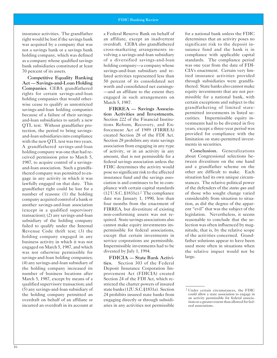insurance activities. The grandfather right would be lost if the savings bank was acquired by a company that was not a savings bank or a savings bank holding company, which was defined as a company whose qualified savings bank subsidiaries constituted at least 70 percent of its assets.

Competitive Equality Banking Act — Savings-and-Loan Holding Companies. CEBA grandfathered rights for certain savings-and-loan holding companies that would otherwise cease to qualify as unrestricted savings-and-loan holding companies because of a failure of their savingsand-loan subsidiaries to satisfy a new QTL test. Without grandfather protection, the period to bring savingsand-loan subsidiaries into compliance with the new QTL test was two years. A grandfathered savings-and-loan holding company was one that had received permission prior to March 5, 1987, to acquire control of a savingsand-loan association. Such a grandfathered company was permitted to engage in any activity in which it was lawfully engaged on that date. This grandfather right could be lost for a number of reasons: (1) the holding company acquired control of a bank or another savings-and-loan association (except in a qualified supervisory transaction); (2) any savings-and-loan subsidiary of the holding company failed to qualify under the Internal Revenue Code thrift test; (3) the holding company engaged in any business activity in which it was not engaged on March 5, 1987, and which was not otherwise permissible for savings-and-loan holding companies; (4) any savings-and-loan subsidiary of the holding company increased its number of business locations after March 5, 1987, except by means of a qualified supervisory transaction; and (5) any savings-and-loan subsidiary of the holding company permitted an overdraft on behalf of an affiliate or incurred an overdraft in its account at

a Federal Reserve Bank on behalf of an affiliate, except an inadvertent overdraft. CEBA also grandfathered cross-marketing arrangements involving a savings-and-loan subsidiary of a diversified savings-and-loan holding company—a company whose savings-and-loan subsidiary and related activities represented less than 50 percent of its consolidated net worth and consolidated net earnings —and an affiliate to the extent they engaged in such arrangements on March 5, 1987.

FIRREA — Savings Association Activities and Investments. Section 222 of the Financial Institutions Reform, Recovery, and Enforcement Act of 1989 (FIRREA) created Section 28 of the FDI Act. Section 28 prohibits any state savings association from engaging in any type of activity, or in an activity in any amount, that is not permissible for a federal savings association unless the FDIC determines the activity would pose no significant risk to the affected insurance fund and the savings association is and continues to be in compliance with certain capital standards (12 U.S.C. §1831e).2 The compliance date was January 1, 1990, less than four months from the enactment of FIRREA, but divestiture of existing non-conforming assets was not required. State savings associations also cannot make equity investments impermissible for federal associations, except that certain investments in service corporations are permissible. Impermissible investments had to be divested by July 1, 1994.

**FDICIA — State Bank Activities**. Section 303 of the Federal Deposit Insurance Corporation Improvement Act (FDICIA) created Section 24 of the FDI Act, which restricted the charter powers of insured state banks (12U.S.C.§1831a). Section 24 prohibits insured state banks from engaging directly or through subsidiaries in any activities not permissible

for a national bank unless the FDIC determines that an activity poses no significant risk to the deposit insurance fund and the bank is in compliance with applicable capital standards. The compliance period was one year from the date of FDI-CIA's enactment. Certain very limited insurance activities provided through subsidiaries were grandfathered. State banks also cannot make equity investments that are not permissible for a national bank, with certain exceptions and subject to the grandfathering of limited statepermitted investments in listed securities. Impermissible equity investments had to be divested in five years, except a three-year period was provided for compliance with the limitation on state-permitted investments in securities.

Conclusion. Generalizations about Congressional selections between divestiture on the one hand and a grandfather scheme on the other are difficult to make. Each situation had its own unique circumstances. The relative political power of the defenders of the *status quo* and of those who sought change varied considerably from situation to situation, as did the degree of the apparent "evil" that was the subject of the legislation. Nevertheless, it seems reasonable to conclude that the selection was often influenced by magnitude, that is, by the relative scope of the activities concerned. Grandfather solutions appear to have been used more often in situations when the relative impact would not be large.

<sup>2</sup> Under certain circumstances, the FDIC could allow a state association to engage in an activity permissible for federal associations to a greater extent than allowed for federal associations.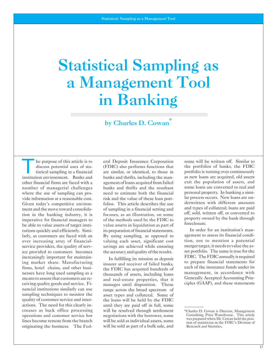# <span id="page-18-0"></span>Statistical Sampling as a Management Tool in Banking

by Charles D. Cowan

institution environment. Banks and banks and thrifts, including the man-<br>other financial firms are faced with a agement of loans acquired from failed exit the population of assets, and other financial firms are faced with a agement of loans acquired from failed exit the population of assets, and<br>number of managerial challenges hanks and thrifts and the resultant some loans are converted to real and number of managerial challenges banks and thrifts and the resultant some loans are converted to real and where the use of sampling can pro-<br>where the use of sampling can prowhere the use of sampling can pro-<br>vide information at a reasonable cost is risk and the value of these loan port- lar process occurs. New loans are untutions quickly and efficiently. Simi-<br>its preparation of financial statements. In order for an institution's manlarly, as customers are faced with an By using sampling, as opposed to agement to assess its financial condi-<br>ever increasing array of financial-<br>valuing each asset, significant cost tion, not to mention a potential ever increasing array of financial-<br>valuing each asset, significant cost service providers, the quality of serv-<br>is saving saving are achieved while ensuring merger target, it needs to value the as-<br>is set portfolio. The same is true for the ice provided to customers becomes the accuracy and quality of the results. set portfolio. The same is true for the increasingly important for maintain-<br>In falfillian its mission of density FDIC. The FDIC annually is requir

The purpose of this article is to eral Deposit Insurance Corporation some will be written off. Similar to discuss potential uses of sta-<br>tistical sampling in a financial are similar, or identical, to those in portfolio is discuss potential uses of sta- (FDIC) also performs functions that the portfolios of banks, the FDIC tistical sampling in a financial are similar, or identical, to those in portfolio is turning over continuously tion in the banking industry, it is<br>
imperative for financial managers to<br>
be able to value assets of target insti-<br>
be able to value assets of target insti-<br>
value assets in liquidation as part of<br>
foreclosure.

means to assure that customers are re-<br>ceiving quality goods and service. Fi-<br>manages until disposition. These ciples (GAAP), and these statements nancial institutions similarly can use range across the broad spectrum of sampling techniques to monitor the asset types and collateral. Some of quality of customer service and inter-<br>the loans will be held by the FDIC the loans will be held by the FDIC actions. The need for this clearly in-<br>
creases as back office processing will be resolved through settlement creases as back office processing will be resolved through settlement \*Charles D. Cowan is Director, Management operations and customer service hot negotiations with the borrower, some Consulting, Price Waterhouse. This ar negotiations with the borrower, some Consulting, Price Waterhouse. This article<br>was prepared when Mr. Cowan held the posi-<br>was prepared when Mr. Cowan held the posiwill be sold as part of a bulk sale, and

vide information at a reasonable cost. risk and the value of these loan port-<br>Given today's competitive environe folios. This article describes the use derwritten with different amounts Given today's competitive environ-<br>ment and the move toward consolida-<br>of sampling in a financial setting and and types of collateral; loans are paid ment and the move toward consolida of sampling in a financial setting and and types of collateral; loans are paid<br>tion in the banking industry it is focuses as an illustration on some off, sold, written off, or converted t

ing market share. Manufacturing<br>
ing market share. Manufacturing<br>
firms, hotel chains, and other busi-<br>
messes have long used sampling as a<br>
means to assure that customers are re-<br>
and real-estate properties, that it<br>
mean

lines become remote from the branch will be sold as individual assets, some the position of statistician in the FDIC's Division of originating the business. The Fed- will be sold as part of a bulk sale, and Research and St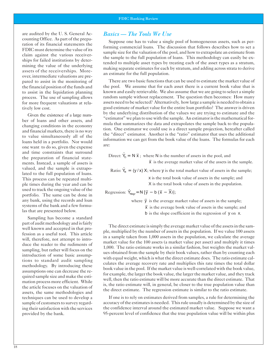are audited by the U. S. General Accounting Office. As part of the preparation of its financial statements the FDIC must determine the value of its claim against the various receiverships for failed institutions by determining the value of the underlying assets of the receiverships. Moreover, intermediate valuations are prepared to assist in the monitoring of the financial position of the funds and to assist in the liquidation planning process. The use of sampling allows for more frequent valuations at relatively low cost.

Given the existence of a large number of loans and other assets, and changing conditions in the economy and financial markets, there is no way to value simultaneously all of the loans held in a portfolio. Nor would one want to do so, given the expense and time constraints that surround the preparation of financial statements. Instead, a sample of assets is valued, and the sample is extrapolated to the full population of loans. This process can be repeated multiple times during the year and can be used to track the ongoing value of the portfolio. The same can be done in any bank, using the records and loan systems of the bank and a few formulas that are presented below.

Sampling has become a standard part of audit methodology and is fairly well known and accepted in that profession as a useful tool. This article will, therefore, not attempt to introduce the reader to the rudiments of sampling, but rather will focus on the introduction of some basic assumptions to standard audit sampling methodology. By introducing these assumptions one can decrease the required sample size and make the estimation process more efficient. While the article focuses on the valuation of assets, the same methodologies and techniques can be used to develop a sample of customers to survey regarding their satisfaction with the services provided by the bank.

# *Basics — The Tools We Use*

Suppose one has to value a single pool of homogeneous assets, such as performing commercial loans. The discussion that follows describes how to set a sample size for the valuation of the pool, and how to extrapolate an estimate from the sample to the full population of loans. This methodology can easily be extended to multiple asset types by treating each of the asset types as a stratum, making separate estimates for each by stratum, and adding across strata to derive an estimate for the full population.

There are two basic functions that can be used to estimate the market value of the pool. We assume that for each asset there is a current book value that is known and easily retrievable. We also assume that we are going to select a simple random sample without replacement. The question then becomes: How many assets need to be selected? Alternatively, how large a sample is needed to obtain a good estimate of market value for the entire loan portfolio? The answer is driven by the underlying distribution of the values we are trying to estimate and the "estimator" we plan to use with the sample. An estimator is the mathematical formula that summarizes the data and extrapolates the sample back to the population. One estimator we could use is a direct sample projection, hereafter called the "direct" estimator. Another is the "ratio" estimator that uses the additional information we can get from the book value of the loans. The formulas for each are:

Direct:  $\hat{Y}_D = N \overline{x}$ ; where N is the number of assets in the pool, and

 $\bar{x}$  is the average market value of the assets in the sample.

Ratio:  $\hat{Y}_R = (y / x) X$ ; where y is the total market value of assets in the sample;

x is the total book value of assets in the sample; and

X is the total book value of assets in the population.

Regression:  $\hat{Y}_{Regr} = N [\overline{y} - b(\overline{x} - \overline{X})];$ 

where  $\bar{y}$  is the average market value of assets in the sample;

 $\bar{x}$  is the average book value of assets in the sample; and

b is the slope coefficient in the regression of y on x.

The direct estimate is simply the average market value of the assets in the sample, multiplied by the number of assets in the population. If we value 100 assets in a sample taken from 1,000 assets in the population, we calculate the average market value for the 100 assets (a market value per asset) and multiply it times 1,000. The ratio estimate works in a similar fashion, but weights the market values obtained from the sample by their book values, rather than by counting each with equal weight, which is what the direct estimate does. The ratio estimate calculates the average recovery rate and multiplies this rate times the total dollar book value in the pool. If the market value is well-correlated with the book value, for example, the larger the book value, the larger the market value, and they track well, then the ratio estimate will be more accurate than the direct estimate. That is, the ratio estimate will, in general, be closer to the true population value than the direct estimate. The regression estimate is similar to the ratio estimate.

If one is to rely on estimates derived from samples, a rule for determining the accuracy of the estimates is needed. This rule usually is determined by the size of the confidence interval around the estimated market value. Suppose we want a 95-percent level of confidence that the true population value will be within plus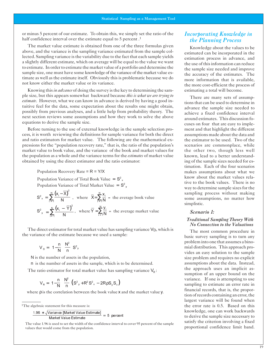or minus 5 percent of our estimate. To obtain this, we simply set the ratio of the half confidence interval over the estimate equal to 5 percent.<sup>1</sup>

The market value estimate is obtained from one of the three formulas given above, and the variance is the sampling variance estimated from the sample collected. Sampling variance is the variability due to the fact that each sample yields a slightly different estimate, which on average will be equal to the value we want to estimate. In order to estimate the market value of a portfolio and determine the sample size, one must have some knowledge of the variance of the market value estimate as well as the estimate itself. Obviously this is problematic because we do not know either the market value or its variance.

Knowing this *in advance* of doing the survey is the key to determining the sample size, but this appears somewhat backward because *this is what we are trying to estimate*. However, what we can know in advance is derived by having a good intuitive feel for the data, some expectation about the results one might obtain, possibly from previous analyses, and a little help from probability theory. The next section reviews some assumptions and how they work to solve the above equations to derive the sample size.

Before turning to the use of external knowledge in the sample selection process, it is worth reviewing the definitions for sample variance for both the direct and ratio estimators for market value. The following are the mathematical expressions for the "population recovery rate," that is, the ratio of the population's market value to book value, and the variance of the book and market values for the population as a whole and the variance terms for the *estimates* of market value obtained by using the direct estimator and the ratio estimator:

Population Recovery Rate =  $R = Y/X$ 

Population Variance of Total Book Value =  $S^2$ <sub>x</sub> Population Variance of Total Market Value =  $S^2$ 

$$
S^{2}_{x} = \sum_{i=1}^{N} \frac{(x_{i} - \overline{X})^{2}}{N}, \text{ where } \overline{X} = \sum_{i=1}^{N} \frac{x_{i}}{N} = \text{ the average book value}
$$
  

$$
S^{2}_{y} = \sum_{i=1}^{N} \frac{(x_{i} - \overline{Y})^{2}}{N}, \text{ where } \overline{Y} = \sum_{i=1}^{N} \frac{y_{i}}{N} = \text{ the average market value}
$$

The direct estimator for total market value has sampling variance  $V_D$ , which is the variance of the estimate because we used a sample:

$$
V_{D} = \left(1 - \frac{n}{N}\right) \frac{N^2}{n} S^2 y
$$

N is the number of assets in the population,

n is the number of assets in the sample, which is to be determined.

The ratio estimator for total market value has sampling variance  $V_R$ :

$$
V_{R} = \left(1 - \frac{n}{N}\right) \frac{N^{2}}{n} \left(S^{2}{}_{y} + R^{2} S^{2}{}_{x} - 2R \rho S_{y} S_{x}\right)
$$

where  $\rho$  is the correlation between the book value **x** and the market value **y**.

<sup>1</sup>The algebraic statement for this measure is:

$$
\frac{1.96 * \sqrt{\text{Variance [Market Value Estimate]}}}{\text{Market Value Estimate}} = 5 \text{ percent}
$$

The value 1.96 is used to set the width of the confidence interval to cover 95 percent of the sample values that would come from the population.

# *Incorporating Knowledge in the Planning Process*

Knowledge about the values to be estimated can be incorporated in the estimation process in advance, and the use of this information can reduce the sample size needed and improve the accuracy of the estimates. The more information that is available, the more cost-efficient the process of estimating a total will become.

There are many sets of assumptions that can be used to determine in advance the sample size needed to achieve a fixed confidence interval around estimates. This discussion focuses on four that are easy to implement and that highlight the different assumptions made about the data and the estimator to be used. Two of the scenarios are commonplace, while the other two, though less well known, lead to a better understanding of the sample sizes needed for estimation. Each of the four scenarios makes assumptions about what we know about the market values relative to the book values. There is no way to determine sample sizes for the sampling process without making some assumptions, no matter how simplistic.

#### *Scenario 1:*

#### *Traditional Sampling Theory With No Connection to the Valuations*

The most common procedure in basic survey sampling is to turn any problem into one that assumes a binomial distribution. This approach provides an easy solution to the sample size problem and requires no explicit assumptions about the data. Instead, the approach uses an implicit assumption of an upper bound on the variance. If one is attempting to use sampling to estimate an error rate in financial records, that is, the proportion of records containing an error, the largest variance will be found when the error rate is 0.5. Based on this knowledge, one can work backwards to derive the sample size necessary to satisfy the criterion involving a fixed proportional confidence limit band.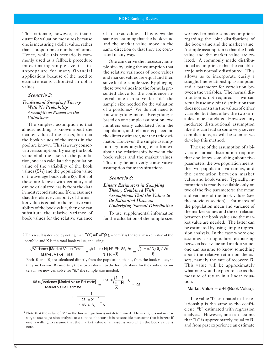quate for valuation measures because same as assuming that the book value one is measuring a dollar value, rather and the market value move in the than a proportion or number of errors. same direction or that they are corre-Hence, while this scenario is com-<br>lated in any way. monly used as a fallback procedure<br>for estimating sample size, it is in-<br>ne size by using the assumption that for estimating sample size, it is in-<br>appropriate for many financial the relative variances of book values appropriate for many financial the relative variances of book values<br>applications because of the need to and market values are equal and then applications because of the need to and market values are equal and then<br>estimate items calibrated in dollar solve for the sample size. By plugging

tion, one can calculate the population This may be an overly conservative value of the variability of the book values  $(S^2x)$  and the population value of the average book value (x). Both of *Scenario 3:*  these are known with certainty and<br>
can be calculated easily from the data<br>
in most record systems. If one assumes<br>
that the relative variability of the mar-<br>
ket value is equal to the relative vari-<br>
ability of the book v substitute the relative variance of To use supplemental information

This rationale, however, is inade- of market values. This is *not* the

estimate items calibrated in dollar solve for the sample size. By plugging<br>values. these two values into the formula pre-Scenario 2:<br>
sented above for the confidence in-<br>
terval, one can solve for "n," the Traditional Sampling Theory<br>
With No Probability<br>
Assumptions Placed on the<br>
Valuations<br>
Valuations<br>
Valuations<br>
Valuations<br>
Valuations<br>
Valuations<br>
Valuations<br>
Valuations<br>
Valuations<br>
Valuations<br>
Valuations<br>
Valuations<br>
V The simplest assumption is that numbers easily calculated from the almost nothing is known about the nonplation and reliance is placed on almost nothing is known about the population, and reliance is placed on market value of the assets, but that the direct estimator, not the ratio esti-<br>the book values of the assets in the mator. However the simple assumpthe book values of the assets in the mator. However, the simple assump-<br>pool are known. This is a very conser-<br>value of all the assets in the popula-<br>value of all the assets in the popula-<br>tion, one can calculate the popul

book values for the relative variance for the calculation of the sample size,

<sup>2</sup> This result is derived by noting that  $E(Y) = R^* E(X)$ , where Y is the total market value of the portfolio and X is the total book value, and using:

$$
\frac{\sqrt{\text{Variance [Market Value Total]}}}{\text{Market Value Total}} = \frac{\sqrt{(1-n/N) N^2 / R^2 S_{\frac{2}{x}}/n}}{N \cdot R \cdot \overline{X}} = \frac{\sqrt{(1-n/N) S_{\frac{2}{x}}/n}}{\overline{X}}
$$

Both  $\bar{x}$  and  $S_x$  are calculated directly from the population, that is, from the book values, so they are known. By inserting these two values into the formula above for the confidence interval, we now can solve for "n," the sample size needed.

$$
\frac{1.96 * \sqrt{\text{Variance [Market Value Estimate]}}}{\text{Market Value Estimate}} = \frac{1.96 * \sqrt{\frac{1}{n} - \frac{1}{N}}}{\overline{X}} = .05
$$

$$
n = \frac{1}{\left(\frac{.05 * \overline{X}}{1.96 * S_x}\right)^2 + \frac{1}{N}}
$$

<sup>3</sup> Note that the value of "a" in the linear equation is not determined. However, it is not necessary to use regression analysis to estimate it because it is reasonable to assume that it is zero if one is willing to assume that the market value of an asset is zero when the book value is zero.

we need to make some assumptions regarding the joint distributions of the book value and the market value. A simple assumption is that the book value and the market value are related. A commonly made distributional assumption is that the variables are jointly normally distributed. This allows us to incorporate easily a straight line relationship assumption and a parameter for correlation between the variables. The normal distribution is not required — we can actually use any joint distribution that does not constrain the values of either variable, but does allow the two variables to be correlated. However, any moderate distributional assumption like this can lead to some very severe complications, as will be seen as we develop this method.

The use of the assumption of a bivariate normal distribution requires that one know something about five parameters: the two population means, the two population variances, and the correlation between market value and book value. Typically, information is readily available only on two of the five parameters: the mean and variance of the book values (see the previous section). Estimates of the population mean and variance of the market values and the correlation between the book value and the market value are needed. The latter can be estimated by using simple regression analysis. In the case where one assumes a straight line relationship between book value and market value, one can assume to know something about the relative return on the assets, namely the rate of recovery, R. This value will be approximately what one would expect to see as the measure of return in a linear equation:

#### Market Value =  $a + b$ (Book Value).

The value "b" estimated in this relationship is the same as the coefficient "b" estimated with regression analysis. However, one can assume that "b" is approximately equal to R, and from past experience an estimate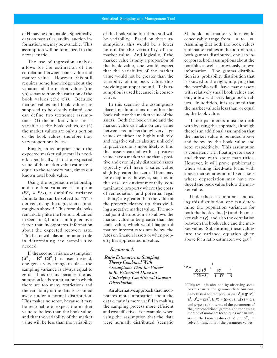of R may be obtainable. Specifically, data on past sales, audits, auction information, *etc*., may be available. This assumption will be formalized in the next scenario.

The use of regression analysis allows for the estimation of the correlation between book value and market value. However, this still requires some knowledge about the variation of the market values (the y's) separate from the variation of the book values (the x's). Because market values and book values are supposed to be closely related, one can define two (extreme) assumptions: (1) the market values are as variable as the book values, or (2) the market values are only a portion of the book values, therefore they vary proportionally less.

Finally, an assumption about the expected market value total is needed: specifically, that the expected value of the market value estimate is equal to the recovery rate, times our known total book value.

Using the regression relationship and the first variance assumption  $(S^2<sub>V</sub> = S^2<sub>X</sub>)$ , a simplified variance formula that can be solved for "n" is derived, using the regression estimator given above.4 This formula looks remarkably like the formula obtained in scenario 2, but it is multiplied by a factor that incorporates information about the expected recovery rate. This factor will play an important role in determining the sample size needed.

If the second variance assumption  $(S^2$ <sub>y</sub> = R<sup>2</sup> \* S<sup>2</sup><sub>x</sub></sub>) is used instead, one gets a very strange result — the sampling variance is always equal to zero! This occurs because the assumption leads to a situation in which there are too many restrictions and the variability of the data is assumed away under a normal distribution. This makes no sense, because it may be reasonable to expect the market value to be less than the book value, and that the variability of the market value will be less than the variability of the book value but there still will be variability. Based on these assumptions, this would be a lower bound for the variability of the market value. And logically, if the market value is only a proportion of the book value, one would expect that the variability of the market value would not be greater than the variability of the book value, thus providing an upper bound. This assumption is used because it is conservative.

In this scenario the assumptions placed no limitations on either the book value or the market value of the assets. Both the book value and the market value can take on any value between−∞ and+∞, though very large values of either are highly unlikely, and negative values also are unlikely. In practice one is more likely to find that assets carried with a positive value have a market value that is positive and even highly distressed assets typically will have a sales value slightly greater than zero. There may be exceptions, however, such as in the case of environmentally contaminated property where the costs of remediation (and potential legal liability) are greater than the value of the property cleaned up, thus yielding a negative market value. The normal joint distribution also allows the market value to be greater than the book value, which would happen if market interest rates are below the rates on financial assets or when property has appreciated in value.

#### *Scenario 4:*

#### *Ratio Estimators in Sampling Theory Combined With Assumptions That the Values to Be Estimated Have an Underlying Conditional Gamma Distribution*

An alternative approach that incorporates more information about the data clearly is more useful in making the sampling process more efficient and cost-effective. For example, when using the assumption that the data were normally distributed (scenario 3), book and market values could conceivably range from −∞ to +∞ . Assuming that both the book values and market values in the portfolio are both gamma distributed, one can incorporate both assumptions about the portfolio as well as previously known information. The gamma distribution is a probability distribution that is skewed to the right, implying that the portfolio will have many assets with relatively small book values and only a few with very large book values. In addition, it is assumed that the market value is less than, or equal to, the book value.

Three parameters must be dealt with by using this approach, although there is an additional assumption that the market value is bounded above and below by the book value and zero, respectively. This assumption is consistent with floating-rate assets and those with short maturities. However, it will prove problematic when valuing fixed-rate loans with above-market rates or for fixed assets where depreciation may have reduced the book value below the market value.

Under these assumptions, and using this distribution, one can determine the population variances for both the book value (x) and the market value (y), and also the correlation between the book value and the market value. Substituting these values into the variance equation given above for a ratio estimator, we get:<sup>5</sup>

$$
\frac{1}{4} \text{ n} = \frac{1}{\left(\frac{0.05 \times \overline{X}}{1.96 \times S_x}\right)^2 \left(\frac{R^2}{1 - R^2}\right) + \frac{1}{N}}
$$

5 This result is obtained by observing some basic results for gamma distributions, namely that for the population  $S^2$ <sub>x</sub> = (p+q)/  $a^2$ ,  $S^2$ <sub>v</sub> =  $p/a^2$ ,  $E(X) = (p+q)/a$ ,  $E(Y) = p/a$ and  $p=p/(p+q)$  in terms of the parameters of the joint conditional gamma, and then using method of moments techniques we can substitute the known values of  $\bar{x}$  and  $S^2$  to solve for functions of the parameter values.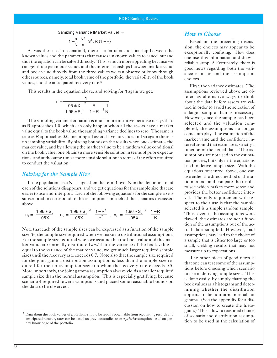#### Sampling Variance [Market Value]  $=$

$$
\left(1-\frac{n}{N}\right)\frac{N^2}{n} S^2{}_x R (1-R)
$$

As was the case in scenario 3, there is a fortuitous relationship between the known values and the parameters that causes unknown values to cancel out and thus the equation can be solved directly. This is much more appealing because we can get three parameter values and the interrelationships between market value and book value directly from the three values we can observe or know through other sources, namely, total book value of the portfolio, the variability of the book values, and the anticipated recovery rate.<sup>6</sup>

This results in the equation above, and solving for  $n$  again we get:

$$
n = \frac{1}{\left(\frac{.05 \times \overline{X}}{1.96 \times S_x}\right)^2 \left(\frac{R}{1-R}\right) + \frac{1}{N}}
$$

The sampling variance equation is much more intuitive because it says that, as R approaches 1.0, which can only happen when all the assets have a market value equal to the book value, the sampling variance declines to zero. The same is true as R approaches 0.0, meaning all assets have no value, and so again there is no sampling variability. By placing bounds on the results when one estimates the market value, and by allowing the market value to be a random value conditional on the book value, one obtains a more sensible solution in terms of prior expectations, and at the same time a more sensible solution in terms of the effort required to conduct the valuation.

## *Solving for the Sample Size*

If the population size **N** is large, then the term 1 over **N** in the denominator of each of the solutions disappears, and we get equations for the sample size that are easier to use and interpret. Each of the following equations for the sample size is subscripted to correspond to the assumptions in each of the scenarios discussed above.

$$
n_2\!=\!\!\left[\frac{1.96*\,S_\text{x}}{.05\overline{\text{X}}}\right],\ \ n_3\!=\!\!\left[\frac{1.96*\,S_\text{x}}{.05\overline{\text{X}}}\right]^{\!2}\left(\frac{1\!-\!R^2}{R^2}\right)\!,\ \ n_4\!=\!\left[\frac{1.96*\,S_\text{x}}{.05\overline{\text{X}}}\right]^{\!2}\left(\frac{1\!-\!R}{R}\right)
$$

Note that each of the sample sizes can be expressed as a function of the sample size n<sub>2</sub>, the sample size required when we make no distributional assumptions. For the sample size required when we assume that the book value and the market value are normally distributed *and* that the variance of the book value is equal to the variance of the market value, we get much larger required sample sizes until the recovery rate exceeds 0.7. Note also that the sample size required for the joint gamma distribution assumption is less than the sample size required for the no assumption scenario when the recovery rate exceeds 0.5. More importantly, the joint gamma assumption always yields a smaller required sample size than the normal assumption. This is especially gratifying, because scenario 4 required fewer assumptions and placed some reasonable bounds on the data to be observed.

# *How to Choose*

Based on the preceding discussion, the choices may appear to be exceptionally confusing. How does one use this information and draw a reliable sample? Fortunately, there is good news regarding both the variance estimate and the assumption choices.

First, the variance estimates. The assumptions reviewed above are offered as alternative ways to think about the data before assets are valued in order to avoid the selection of a larger sample than is necessary. However, once the sample has been selected and the valuation completed, the assumptions no longer come into play. The estimation of the market value and the confidence interval around that estimate is strictly a function of the actual data. The assumptions are not used in the estimation process, but only in the equations used to derive sample size. With the equations presented above, one can use either the direct method or the ratio method, and compare the results to see which makes more sense and provides the better confidence interval. The only requirement with respect to their use is that the sample selected is a simple random sample. Thus, even if the assumptions were flawed, the estimates are not a function of the assumptions but of the actual data sampled. However, bad assumptions may lead to the choice of a sample that is either too large or too small, yielding results that may not measure up to expectations.

The other piece of good news is that one can test some of the assumptions before choosing which scenario to use in deriving sample sizes. This is done easily by simply charting the book values as a histogram and determining whether the distribution appears to be uniform, normal, or gamma. (See the appendix for a discussion on how to create the histogram.) This allows a reasoned choice of scenario and distribution assumption to be used in the calculation of

 $^6$  Data about the book values of a portfolio should be readily obtainable from accounting records and anticipated recovery rates can be based on previous studies or an *a priori* assumption based on general knowledge of the portfolio.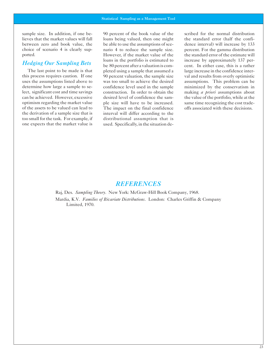sample size. In addition, if one be- 90 percent of the book value of the scribed for the normal distribution

one expects that the market value is used. Specifically, in the situation de-

lieves that the market values will fall loans being valued, then one might the standard error (half the confibetween zero and book value, the be able to use the assumptions of sce-<br>
choice of scenario 4 is clearly sup-<br>
nario 4 to reduce the sample size. Percent. For the gamma distribution nario 4 to reduce the sample size. percent. For the gamma distribution ported. However, if the market value of the the standard error of the estimate will *Hedging Our Sampling Bets* be 80 percent after a valuation is com-<br>be 80 percent after a valuation is com-<br>cent. In either case, this is a rather The last point to be made is that pleted using a sample that assumed a large increase in the confidence interthis process requires caution. If one 90 percent valuation, the sample size val and results from overly optimistic uses the assumptions listed above to was too small to achieve the desired assumptions. This problem can be determine how large a sample to se- confidence level used in the sample minimized by the conservatism in lect, significant cost and time savings construction. In order to obtain the making *a priori* assumptions about desired level of confidence the sam-<br>the value of the portfolio, while at the optimism regarding the market value ple size will have to be increased. same time recognizing the cost tradeof the assets to be valued can lead to The impact on the final confidence offs associated with these decisions. the derivation of a sample size that is interval will differ according to the too small for the task. For example, if distributional assumption that is

# *REFERENCES*

Raj, Des. *Sampling Theory*. New York: McGraw-Hill Book Company, 1968. Mardia, K.V. *Families of Bivariate Distributions*. London: Charles Griffin & Company Limited, 1970.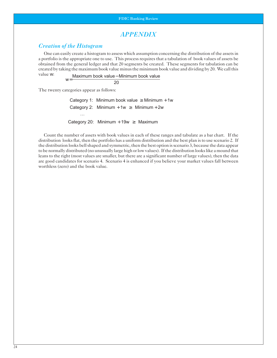# *APPENDIX*

# *Creation of the Histogram*

One can easily create a histogram to assess which assumption concerning the distribution of the assets in a portfolio is the appropriate one to use. This process requires that a tabulation of book values of assets be obtained from the general ledger and that 20 segments be created. These segments for tabulation can be created by taking the maximum book value minus the minimum book value and dividing by 20. We call this

value w: Maximum book value − Minimum book value  $w = \frac{1}{20}$ 

The twenty categories appear as follows:

 $\ddotsc$ Category 1: Minimum book value  $\geq$  Minimum + 1w Category 2: Minimum + 1w  $\geq$  Minimum + 2w Category 20: Minimum + 19w  $\geq$  Maximum

Count the number of assets with book values in each of these ranges and tabulate as a bar chart. If the distribution looks flat, then the portfolio has a uniform distribution and the best plan is to use scenario 2. If the distribution looks bell shaped and symmetric, then the best option is scenario 3, because the data appear to be normally distributed (no unusually large high or low values). If the distribution looks like a mound that leans to the right (most values are smaller, but there are a significant number of large values), then the data are good candidates for scenario 4. Scenario 4 is enhanced if you believe your market values fall between worthless (zero) and the book value.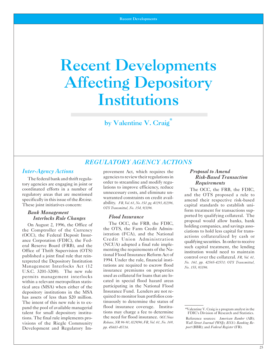# <span id="page-26-0"></span>Recent Developments Affecting Depository Institutions

by Valentine V. Craig

# *REGULATORY AGENCY ACTIONS*

U.S.C. 3201-3208). The new rule insurance premiums on properties<br>permits management interlocks used as collateral for loans that are lopermits management interlocks used as collateral for loans that are lo-<br>within a relevant metropolitan statis-<br>cated in special flood hazard areas within a relevant metropolitan statis-<br>
in special flood hazard areas<br>
interpretent participating in the National Flood<br>
interpretent participating in the National Flood tical area (MSA) when either of the depository institutions in the MSA Insurance Fund. Lenders are not rehas assets of less than \$20 million. quired to monitor loan portfolios con-<br>The intent of this new rule is to ex-<br>tinuously to determine the status of The intent of this new rule is to ex-<br>numerial the pool of available managerial flood insurance coverage. Institutalent for small depository instituutions may charge a fee to determine<br>tions The final rule implements pro-<br>the need for flood insurance. *OCCNews* Development and Regulatory Im-

*Inter-Agency Actions* provement Act, which requires the *Proposal to Amend* The federal bank and thrift regula-<br>
x agencies are engaging in joint or a correct to streamline and modify regu-<br> **Requirements** tory agencies are engaging in joint or <sup>order</sup> to streamline and modify regu-<br>coordinated efforts in a number of lations to improve efficiency, reduce

Office of Thrift Supervision (OTS)<br>
published a joint final rule that rein-<br>
tional Flood Insurance Reform Act of<br>
terpreted the Depository Institution<br>
Management Interlocks Act (12)<br>
Management Interlocks Act (12)<br>
Manag Management Interlocks Act (12 tutions are required to escrow flood *No. 155, 9/3/96.*<br>**ILS.C.** 3201-3208) The new rule insurance premiums on properties pand the pool of available managerial flood insurance coverage. Institu-<br>talent for small depository institu-<br>tions may charge a fee to determine FDIC's Division of Research and Statistics. tions. The final rule implements pro-<br>
visions of the Riegle Community Release, NR 96-90, 8/29/96; FR, Vol. 61, No. 169, Wall Street Journal (WSI): RNA's Ranking Re-<br>
Visions of the Riegle Community Release, NR 96-90, 8/29 visions of the Riegle Community *Release, NR 96-90, 8/29/96; FR, Vol. 61, No. 169, Wall Street Journal* (WSJ); *BNA's Banking Re-*<br>Development and Regulatory Im- *pp. 45683-45716*. *pp. 45683-45716*.

coordinated efforts in a number of<br>
regulatory areas that are mentioned<br>
regulatory areas that are mentioned<br>
in this issue of the *Review*.<br>
The OCC, the FRB, the FDIC,<br>
regulatory areas that are mentioned<br>
in this issue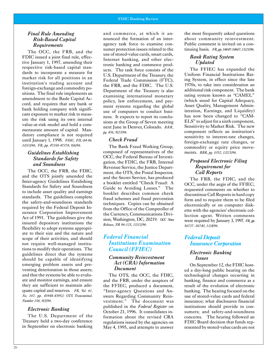# *Final Rule Amending Amending Risk-Based Capital Capital Requirements Requirements*

The OCC, the FRB, and the FDIC issued a joint final rule, effec tive January 1, 1997, amending their respective risk-based capital standards to incorporate a measure for market risk for all positions in an institution's trading account and foreign-exchange and commodity positions. The final rule implements an amendment to the Basle Capital Accord, and requires that any bank or bank holding company with significant exposure to market risk to measure the risk using its own internal value-at-risk model and hold a commensurate amount of capital. Mandatory compliance is not required until January 1, 1998. *FDIC, FIL-84-96*, *10/10/96;10/10/96; FR, pp. 47358-47378, 9/6/96. 9/6/96.* 

# *Guidelines Establishing Establishing Standards for Safety Safety and Soundness Soundness*

The OCC, the FRB, the FDIC, and the OTS jointly amended the Inter-agency Guidelines Estalishing Standards for Safety and Soundness to include asset quality and earnings standards. The guidelines complete the safety-and-soundness standards required by the Federal Deposit Insurance Corporation Improvement Act of 1991. The guidelines give the insured depository institutions the flexibility to adopt systems appropriate to their size and the nature and scope of their activities, and should not require well-managed institutions to modify their operations. The guidelines direct that the systems should be capable of identifying emerging problem assets and pre venting deterioration in those assets; and that the systems be able to evalu ate and monitor earnings, and ensure they are sufficient to maintain adequate capital and reserves. *FR, Vol. 61, No. 167, pp. 43948-43952; OTS Transmittal, Number 156, 9/3/96. 9/3/96.* 

#### *Electronic Banking Banking*

The U.S. Department of the Treasury held a two-day conference in September on electronic banking

and commerce, at which it announced the formation of an interagency task force to examine con sumer protection issues related to the use of stored-value cards, smart cards, Internet banking, and other electronic banking and commerce products. The task force consists of the U.S. Department of the Treasury, the Federal Trade Commission (FTC), the FRB, and the FDIC. The U.S. Department of the Treasury is also examining international monetary policy, law enforcement, enforcement, and pay ment systems regarding the global use of computers to conduct business. It expects to report its conclu sions at the Group of Seven meeting next June in Denver, Colorado. *BBR*, *pg. 436, 9/23/96. 9/23/96.* 

#### *Check Fraud Fraud*

The Bank Fraud Working Group, composed of representatives of the OCC, the Federal Bureau of Investigation, the FDIC, the FRB, Internal Revenue Service, the Justice Department, the OTS, the Postal Inspector, and the Secret Service, has produced a booklet entitled "Check Fraud: A Guide to Avoiding Losses." The booklet describes common check fraud schemes and fraud prevention techniques. Copies can be obtained from the Office of the Comptroller of the Currency, Communications Division, Washington, DC, 20219. *OCC News Release, NR 96-125, 11/12/96. 11/12/96.* 

# *Federal Financial Financial Institutions Examination Examination Council (FFIEC) (FFIEC)*

### *Community Reinvestment Reinvestment Act (CRA) Information Information DocumentDocument*

The OTS, the OCC, the FDIC, and the FRB, under the auspices of the FFIEC, produced a document, "Inter-agency Questions and Answers Regarding Community Reinvestment." The document was published in the *Federal Register* on October 21, 1996. It consolidates information about the revised CRA regulations issued by the agencies on May 4, 1995, and attempts to answer

the most frequently asked questions about community reinvestment. Public comment is invited on a con tinuing basis. *FR,pp.54647-54667,11/21/96.* 

#### *Bank Rating System System Updated*

The FFIEC has expanded the Uniform Financial Institutions Rating System, in effect since the late 1970s, to take into consideration an additional risk component. The bank rating system known as "CAMEL" (which stood for Capital Adequacy, Asset Quality, Management Administration, Earnings, and Liquidity) has now been changed to "CAM- ELS" to adjust for a sixth component, Sensitivity to Market Risk. The new component reflects an institution's sensitivity to interest-rate changes, foreign-exchange rate changes, or commodity or equity price movements. *BBR, pg. 1052, 12/23/96. 12/23/96.* 

## *Proposed Electronic Filing Filing Requirement for for Call Reports Reports*

The FRB, the FDIC, and the OCC, under the aegis of the FFIEC, requested comments on whether to discontinue Call Reports in hard copy form and to require them to be filed electronically or on computer diskette with the agencies' electronic collection agent. Written comments were required by January 3, 1997. *FR, pp. 56737 -56740, 11/4/96. 11/4/96.* 

# *Federal Deposit Insurance Corporation*

## *Electronic Banking Banking Issues*

On September 12, the FDIC hosted a day-long public hearing on the technological changes occurring in banking, finance and commerce as a result of the evolution of electronic banking. The hearing focused on the use of stored-value cards and federal insurance; what disclosures financial institutions should provide to consumers; and safety-and-soundness concerns. The hearing followed an FDIC Board decision that funds represented by stored-value cards are not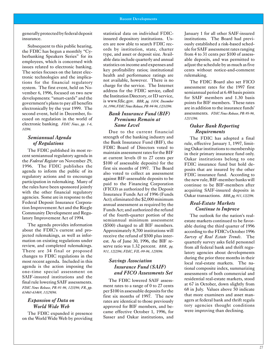generally protected by federal deposit insurance.

Subsequent to this public hearing, the FDIC has begun a monthly "Cy berbanking Speakers Series" for its employees, which is concerned with issues related to electronic banking. The series focuses on the latest elec tronic technologies and the implications for the financial regulatory system. The first event, held on No vember 6, 1996, focused on two new developments: "smart-cards" and the government's plans to pay all benefits electronically by the year 1999. The second event, held in December, focused on regulation in the world of electronic banking. *FDIC News, pp. 1-6, 10/96.* 

# *Semiannual Agenda Agenda of Regulations Regulations*

The FDIC published its most recent semiannual regulatory agenda in the *Federal Register* on November 29, 1996. The FDIC publishes the agenda to inform the public of its regulatory actions and to encourage participation in rulemaking. Many of the rules have been sponsored jointly with the other financial regulatory agencies. Some are in response to the Federal Deposit Insurance Corporation Improvement Act and the Riegle Community Development and Regulatory Improvement Act of 1994.

The agenda provides information about the FDIC's current and pro jected rulemakings, as well as information on existing regulations under review, and completed rulemakings. There are 34 final or proposed changes to FDIC regulations in the most recent agenda. Included in this agenda is the action imposing the one-time special assessment on SAIF-insured institutions and the final rule lowering SAIF assessments. *FDIC News Release, PR-91-96, 12/3/96; FR, pp. 63460-63469, 11/29/96. 11/29/96.* 

#### *Expansion of Data on on World Wide Web Web*

The FDIC expanded it presence on the World Wide Web by providing statistical data on individual FDICinsured depository institutions. Users are now able to search FDIC rec ords by institution, state, charter type, and asset or deposit size. Avail able data include quarterly and annual statistics on income and expenses and key profitability ratios; institutional health and performance ratings are not available, however. There is no charge for the service. The Internet address for the FDIC service, called the Institution Directory, or ID service, is www.fdic.gov. *BBR, pg. 1004, December 16, 1996; FDIC News Release,Release, PR-94-96,PR-94-96, 12/10/96.12/10/96.* 

#### *Bank Insurance Fund (BIF) (BIF) Premiums Remain at at Same Level Level*

Due to the current financial strength of the banking industry and the Bank Insurance Fund (BIF), the FDIC Board of Directors voted to maintain assessment rates for the BIF at current levels (0 to 27 cents per  $$100$  of assessable deposits) for the first six months of 1997. The Board also voted to collect an assessment against BIF-assessable deposits to be paid to the Financing Corporation (FICO) as authorized by the Deposit Insurance Funds Act of 1996 (Funds Act); eliminated the  $$2,000$  minimum annual assessment as required by the Funds Act; and authorized the refund of the fourth-quarter portion of the semiannual minimum assessment  $($500)$  charged to all BIF members. Approximately 8,700 institutions will receive the refund of \$500 plus inter est. As of June 30, 1996, the BIF re serve ratio was 1.32 percent. *BBR*, pg. *911, 12/2/96; 12/2/96; FDIC, FIL-99-96, 12/9/96. 12/9/96.* 

# *Savings Association Association Insurance Fund (SAIF) (SAIF) and FICO Assessments Set Set*

The FDIC lowered SAIF assess ment rates to a range of 0 to 27 cents per \$100 in assessable deposits for the first six months of 1997. The new rates are identical to those previously approved for BIF members, and became effective October 1, 1996, for Sasser and Oakar institutions, and January 1 for all other SAIF-insured institutions. The Board had previously established a risk-based schedule for SAIF assessment rates ranging from 4 to 31 cents per \$100 of assess able deposits, and was permitted to adjust the schedule by as much as five cents without notice-and-comment rulemaking.

The FDIC Board also set FICO assessment rates for the 1997 first semiannual period at 6.48 basis points for SAIF members and 1.30 basis points for BIF members. These rates are in addition to the insurance funds' assessments. **FDIC News Release**, PR-95-96, *12/11/96.12/11/96.* 

# *Oakar Bank Reporting Requirements Requirements*

The FDIC has adopted a final rule, effective January 1, 1997, limiting Oakar institutions to membership in their primary insurance fund only. Oakar institutions belong to one FDIC insurance fund but hold deposits that are insured by the other FDIC insurance fund. According to the new rule, BIF-member banks will continue to be BIF-members after acquiring SAIF-insured deposits in Oakar transactions. *BBR, pg. 911, 12/2/96.* 

# *Real-Estate Markets Markets Continue to Improve Improve*

The outlook for the nation's realestate markets continued to be favorable during the third quarter of 1996 according to the FDIC's October 1996 *Survey of Real Estate Trends*. The quarterly survey asks field personnel from all federal bank and thrift regu latory agencies about developments during the prior three months in their local real-estate markets. The national composite index, summarizing assessments of both commercial and residential real-estate markets, stood at 67 in October, down slightly from 68 in July. Values above 50 indicate that more examiners and asset managers at federal bank and thrift regula tory agencies thought conditions were improving than declining.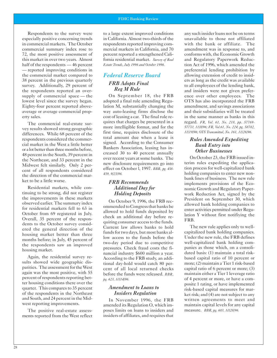Respondents to the survey were especially positive concerning trends in commercial markets. The October commercial summary index rose to 72, the most positive assessment of this market in over two years. Almost half of the respondents — 46 percent — reported improving conditions in the commercial market compared to 38 percent in the previous quarterly survey. Additionally, 29 percent of the respondents reported an oversupply of commercial space — the lowest level since the survey began. Eighty-four percent reported aboveaverage or average commercial property sales.

The commercial real-estate survey results showed strong geographic differences. While 68 percent of the respondents considered the commercial market in the West a little better or a lot better than three months before, 48 percent in the South, 39 percent in the Northeast, and 33 percent in the Midwest felt similarly. Only 2 percent of all respondents considered the direction of the commercial market to be a little worse.

Residential markets, while continuing to be strong, did not register the improvements in these markets observed earlier. The summary index for residential markets fell to 63 in October from 69 registered in July. Overall, 35 percent of the respondents to the October survey considered the general direction of the housing market better than three months before; in July, 45 percent of the respondents saw an improved housing market.

Again, the residential survey results showed wide geographic disparities. The assessment for the West again was the most positive, with 55 percent of respondents reporting better housing conditions there over the quarter. This compares to 35 percent of the respondents in the Northeast and South, and 24 percent in the Midwest reporting improvements.

The positive real-estate assessments reported from the West reflect to a large extent improved conditions in California. Almost two-thirds of the respondents reported improving commercial markets in California, and 70 percent reported a strengthened California residential market. *Survey of Real Estate Trends, July 1996 and October 1996.* 

# *Federal Reserve Board FRB Adopts Final Reg M Rule*

On September 18, the FRB adopted a final rule amending Regulation M, substantially changing the way auto-leasing firms disclose the cost of leasing a car. The final rule requires that charges be presented in a more intelligible format, and for the first time, requires disclosure of the total amount due when a lease is signed. According to the Consumer Bankers Association, leasing has increased 30 to 40 percent annually over recent years at some banks. The new disclosure requirements go into effect on October l, 1997. *BBR, pg. 438 439, 9/23/96.* 

#### *FRB Recommends Additional Day for Holding Deposits*

On October 9, 1996, the FRB recommended to Congress that banks be allowed to hold funds deposited by check an additional day before requiring consumer access to the funds. Current law allows banks to hold funds for two days, but most banks allow access to the funds before the two-day period due to competitive pressures. Check fraud costs the financial industry \$600 million a year. According to the FRB study, an additional day-hold would catch 80 percent of all local returned checks before the funds were released. *BBR, pg. 623, 10/14/96.* 

## *Amendment to Loans to Insiders Regulation*

In November 1996, the FRB amended its Regulation O, which imposes limits on loans to insiders and insiders of affiliates, and requires that

any such insider loans not be on terms unavailable to those not affiliated with the bank or affiliate. The amendment was in response to, and conforms with, the Economic Growth and Regulatory Paperwork Reduction Act of 1996, which amended the preferential lending prohibition by allowing extension of credit to insiders as long as the credit was available to all employees of the lending bank, and insiders were not given preference over other employees. The OTS has also incorporated the FRB amendment, and savings associations and their subsidiaries will be treated in the same manner as banks in this regard. *FR, Vol. 61, No. 218, pp. 57769 57770, 11/8/96; FR, Vol.61, No. 224, pg. 58782, 11/19/96; OTS Transmittal, No. 161, 11/26/96.* 

### *Rules Amended Expediting Bank Entry into Other Businesses*

On October 23, the FRB issued interim rules expediting the application process for well-capitalized bank holding companies to enter new nonbank lines of business. The new rule implements provisions of the Economic Growth and Regulatory Paperwork Reduction Act, signed by the President on September 30, which allowed bank holding companies to enter activities permitted under Regulation Y without first notifiying the FRB.

The new rule applies only to wellcapitalized bank holding companies. Under the new rule, the FRB defines well-capitalized bank holding companies as those which, on a consolidated basis: (1) maintain a total riskbased capital ratio of 10 percent or more; (2) maintain a Tier 1 risk-based capital ratio of 6 percent or more; (3) maintain either a Tier 1 leverage ratio of 4 percent or more, or have a composite 1 rating, or have implemented risk-based capital measures for market risk; and (4) are not subject to any written agreements to meet and maintain capital levels for any capital measure. *BBR, pg. 683, 10/28/96.*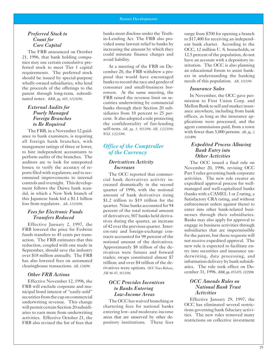# *Preferred Stock to Count for Core Capital*

The FRB announced on October 21, 1996, that bank holding companies may use certain cumulative preferred stock to meet Tier 1 capital requirements. The preferred stock should be issued by special-purpose wholly-owned subsidiaries, who lend the proceeds of the offerings to the parent through long-term, subordinated notes. *BBR, pg. 685, 10/28/96.* 

# *External Audits for Poorly Managed Foreign Branches to Be Required*

The FRB, in a November 12 guidance to bank examiners, is requiring all foreign bank branches, with mangement ratings of three or lower, to hire independent accountants to perform audits of the branches. The auditors are to look for unreported losses; to verify the accuracy of reports filed with regulators; and to recommend improvements to internal controls and oversight. This development follows the Daiwa bank scandal, in which a New York branch of this Japanese bank hid a \$1.1 billion loss from regulators. *AB, 11/18/96.* 

# *Fees for Electronic Funds Transfers Reduced*

Effective January 2, 1997, the FRB lowered the price for Fedwire funds transfers to 45 cents per transaction. The FRB estimates that this reduction, coupled with one made in September, should save the industry over \$18 million annually. The FRB has also lowered fees on automated clearinghouse transactions. *AB, 11/6/96.* 

## *Other FRB Actions*

Effective November 12, 1996, the FRB will exclude corporate and municipal bond interest of "easily-sold" securities from the cap on commercial underwriting revenue. This change will permit certain Section 20 subsidiaries to earn more from underwriting activities. Effective October 21, the FRB also revised the list of fees that

banks must disclose under the Truthin-Lending Act. The FRB also provided some lawsuit relief to banks by increasing the amount by which they could misstate finance charges and avoid liability.

At a meeting of the FRB on December 20, the FRB withdrew a proposal that would have encouraged banks to record the race and gender of consumer and small-business borrowers. At the same meeting, the FRB raised the revenue limit on securities underwriting by commercial banks through their Section 20 subsidiaries from 10 percent to 25 percent. It also adopted a rule protecting the confidentiality of fair-lending self-tests. *AB, pg. 3, 9/13/96; AB, 12/23/96; WSJ, 12/23/96.* 

# *Office of the Comptroller of the Currency*

## *Derivatives Activity Increases*

The OCC reported that commercial bank derivatives activity increased dramatically in the second quarter of 1996, with the notional amount of bank derivatives rising \$1.2 trillion to \$19 trillion for the quarter. Nine banks accounted for 94 percent of the total notional amount of derivatives; 507 banks held derivatives during the quarter, an increase of 42 over the previous quarter. Interest-rate and foreign-exchange contracts accounted for 98 percent of the notional amount of the derivatives. Approximately \$8 trillion of the derivatives were futures and forward trades; swaps constituted almost \$7 trillion; and over \$4 trillion of the derivatives were options. *OCC News Release, NR 96-97, 9/13/96.* 

# *OCC Provides Incentives to Banks Entering Low-Income Areas*

The OCC has waived branching or chartering fees for national banks entering low- and moderate-income areas that are unserved by other depository institutions. These fees range from \$700 for opening a branch to \$17,400 for receiving an independent bank charter. According to the OCC, 12 million U. S. households, or 12.5 percent of the population, do not have an account with a depository institution. The OCC is also planning an educational forum to assist bankers in understanding the banking needs of this population. *AB, 10/1/96.* 

### *Insurance Sales*

In November, the OCC gave permission to First Union Corp. and Mellon Bank to sell and market insurance anywhere, including from bank offices, as long as the insurance applications were processed, and the agent commissions paid, from a town with fewer than 5,000 persons. *AB, pg. 2, 11/14/96.* 

### *Expedited Process Allowing Bank Entry into Other Activities*

The OCC issued a final rule on November 20, 1996, revising OCC Part 5 rules governing bank corporate activities. The new rule creates an expedited approval process for wellmanaged and well-capitalized banks (banks with a CAMEL 1 or 2 rating, a Satisfactory CRA rating, and without enforcement orders against them) to enter into other bank-related businesses through their subsidiaries. Banks may also apply for approval to engage in business activities through subsidiaries that are impermissible for the parent, but these requests will not receive expedited approval. The new rule is expected to facilitate entry into securities and insurance underwriting, data processing, and information delivery by bank subsidiaries. The rule took effect on December 31, 1996. *BBR, pp. 873-875, 11/25/96.* 

# *OCC Amends Rules on National Bank Trust Activities*

Effective January 29, 1997, the OCC has eliminated several restrictions governing bank fiduciary activities. The new rules removed many restrictions on collective investment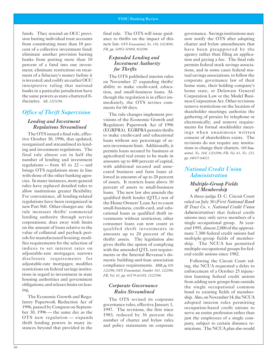funds. They rescind an OCC provision barring individual trust accounts from constituting more than 10 percent of a collective investment fund; eliminate another provision barring banks from putting more than 10 percent of a fund into one investment; eliminate restrictions on treatment of a fiduciary's money before it is invested; and codify an earlier OCC interpretive ruling that national banks in a particular jurisdiction have the same powers as state-chartered fiduciaries. *AB, 12/31/96.* 

# *Office of Thrift Supervision*

# *Lending and Investment Regulations Streamlined*

The OTS issued a final rule, effective October 30, 1996, that updated, reorganized and streamlined its lending and investment regulations. The final rule almost cut in half the number of lending and investment regulations — from 43 to 22 — and brings OTS regulations more in line with those of the other banking agencies. In many instances, more general rules have replaced detailed rules to allow institutions greater flexibility. For convenience, all lending-related regulations have been reorganized in new Part 560. Other changes are: the rule increases thrifts' commercial lending authority through service corporations; does away with limits on the amount of loans relative to the value of collateral and payback periods for manufactured housing; modifies requirements for the selection of indices to set interest rates on adjustable-rate mortgages; narrows disclosure requirements for adjustable-rate mortgages; modifies restrictions on federal savings institutions in regard to investment in state housing authorities and government obligations; and relaxes limits on leasing.

The Economic Growth and Regulatory Paperwork Reduction Act of 1996, passed by Congress on September 30, 1996 — the same day as the OTS new regulation — expands thrift lending powers in many instances beyond that provided in the

final rule. The OTS will issue guidance to thrifts on the impact of this new law. *OTS Transmittal, No. 158, 10/24/96; FR, pp. 50951-50984, 9/30/96.* 

# *Expanded Lending and Investment Authority for Thrifts*

The OTS published interim rules on November 27 expanding thrifts' ability to make credit-card, education, and small-business loans. Although the regulation is in effect immediately, the OTS invites comments for 60 days.

The rule changes implement provisions of the Economic Growth and Regulatory Paperwork Act of 1996 (EGRPRA). EGRPRA permits thrifts to make credit-card and educational loans without any percentage of assets investment limit. Additionally, it permits loans secured by business or agricultural real estate to be made in amounts up to 400 percent of capital, with additional secured and unsecured business and farm loans allowed in amounts of up to 20 percent of assets. It restricts loans above 10 percent of assets to small-business loans. The new law also amends the qualified thrift lender (QTL) test of the Home Owners' Loan Act to count small-business, credit-card, and educational loans as qualified thrift investments without restriction; other consumer loans can now count as qualifed thrift investments in amounts up to 20 percent of the thrifts' assets. The legislation also gives thrifts the option of complying with the amended OTL test requirements or the Internal Revenue's domestic building-and-loan association compliance requirements. *BBR, pg. 929, 12/2/96; OTS Transmittal, Number 163, 12/2/96; FR, Vol. 61, pp. 60179-60185, 11/27/96.* 

# *Corporate Governance Rules Streamlined*

The OTS revised its corporate governance rules, effective January 1, 1997. The revisions, the first since 1983, reduced by 36 percent the number of charter and bylaw rules and policy statements on corporate

governance. Savings institutions may now notify the OTS after adopting charter and bylaw amendments that have been preapproved by the agency rather than filing an application and paying a fee. The final rule permits federal stock savings associations, and in some cases federal mutual savings associations, to follow the corporate governance law of their home state, their holding company's home state, or Delaware General Corporation Law or the Model Business Corporation Act. Other revisions remove restrictions on the location of shareholder meetings; authorize the gathering of proxies by telephone or electronically; and remove requirements for formal stockholder meetings when unanimous written consent of shareholders exists. The revisions do not require any institutions to change their charters. *OTS Transmittal, No. 164, 12/10/96; FR, Vol. 61, No. 233, pp. 64007-64021.* 

# *National Credit Union Administration*

# *Multiple-Group Fields of Membership*

A three-judge D. C. Circuit Court ruled on July 30 (*First National Bank & Trust Co.* v. *National Credit Union Administration*) that federal credit unions may only serve members of a single occupational group. At yearend 1995, almost 2,000 of the approximate 7,300 federal credit unions had multiple-group fields of membership. The NCUA has permitted multiple-occupational groups for federal credit unions since 1982.

Following the Circuit Court ruling, the NCUA requested a delay to enforcement of a October 25 injunction banning federal credit unions from adding new groups from outside the single occupational common bond to existing fields of membership. Also, on November 14, the NCUA adopted interim rules permitting occupation-based credit unions to serve an entire profession rather than just the employees of a single company, subject to certain distance restrictions. The NCUA plan also would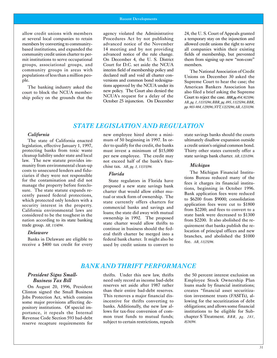allow credit unions with members agency violated the Administrative  $24$ , the U. S. Court of Appeals granted mit institutions to serve occupational On December 4, the U. S. District them from signing up new "non-core" groups, associational groups, and Court for D.C. set aside the NCUA members. community groups in areas with interim field of membership policy and The National Association of Credit populations of less than a million peo-<br>
declared null and void all charter con-<br>
Unions on December 30 asked the populations of less than a million peo-<br>ple. existions and common bond redesigna-<br>perfective fact the case the

versions and common bond redesigna-<br>integral court to hear the case; the<br>merican Bankers Association has The banking industry asked the tions approved by the NCUA under its American Bankers Association has<br>American Bankers Association has new policy. The Court also denied the also filed a brief asking the Supreme court to block the NCUA member-<br>ship policy on the grounds that the<br>October 25 injunction. On December and the suppose of the Court to reject the case. BBR, pg 454, 9/23/96;<br>October 25 injunction. On December AR pg 1 11/1

at several local companies to retain Procedures Act by not publishing a temporary stay on the injunction and members by converting to community-<br>advanced notice of the November allowed credit unions the right to serve based institutions, and expanded the 14 meeting and by not providing all companies within their existing community credit union charter to per-<br>advanced notice of the rule change. Fields of membership, but prevented

> October 25 injunction.injunction. On DecemberDecember *AB, pg. 1, 11/15/96;11/15/96; BBR, pg. 895, 11/25/96;11/25/96; BBR, pp. 983-984,983-984, 12/9/96;12/9/96; NYT, 12/25/96;12/25/96; AB, 12/31/96.12/31/96.*

# *STATE LEGISLATION AND REGULATION REGULATION*

legislation, effective January 1, 1997, der to qualify for the credit, the banks a credit union's original common bond. protecting banks from toxic waste must invest a minimum of \$15,000 Thirty other states currently offer a cleanup liability under state and local per new employee. The credit may state sayings bank charter. AR. 12/10/96. cleanup liability under state and local per new employee. The credit may state savings bank charter. *AB, 12/10/96.*<br>120 law. The new statute provides im-<br>12.015.02. The new statute provides immunity from environmental clean-up chise tax. *AB, pg. 3, 11/15/96. Michigan* costs to unsecured lenders and fiducosts to unsecured lenders and fidu-<br>ciaries if they were not responsible<br>for the contamination and did not **State regulators in Florida have** for the contamination and did not<br>manage the property before foreclo-<br>proposed a new state savings bank<br>institu-institu-institu-institu-institu-institu-

The state of California enacted mum of 50 beginning in 1997. In or- ultimately disallow expansion outside not exceed half of the bank's fran-

manage the property before foreclo-<br>sure. The state statute expands re-<br>cently passed federal protections,<br>tions, beginning in October 1996.<br>tens is maintain institu-<br>tions, beginning in October 1996.<br>Bank application fees ently passed federal protections, tual or stock form of ownership. The which protected only lenders with a state currently offers charters for the security interest in the property. Solution in the property.<br>
California environmental laws are<br>
considered to be the toughest in the<br>
nation according to its state banking<br>
the proposed<br>
considered to be the toughest in the<br>
mation according to its state b nation according to its state banking<br>trade group. *AB*, 11/4/96.<br>**Delaware** charter would allow thrifts to<br>**Delaware** continue in business should the fed-<br>ocation of principal offices and new Delaware<br>
Banks in Delaware are eligible to<br>
receive a \$400 tax credit for every used by credit unions to convert to<br>
letter be merged into a<br>
fee. AB, 11/25/96.

*California* **new employee hired above a mini-** state savings banks should the courts

# **BANK AND THRIFT PERFORMANCE**

reserve recapture requirements for

*Business Tax Bill* **Bill Bill Bill Bill Bill Bill Bill Bill Employee Stock Ownership Plan Bill Employee** Stock Ownership Plan<br>August 20, 1996 President **Example Stock Ownership** Plan On August 20, 1996, President reserves set aside after 1987 rather loans made by financial institutions;<br>
inten signed the Small Business than their entire bad-debt reserves. Creates "financial asset securitiza-Clinton signed the Small Business than their entire bad-debt reserves. creates "financial asset securitiza-<br>Iobs Protection Act, which contains This removes a major financial dis-<br>Iobs Protection Act, which contains This removes a major financial dis-<br>some major provisions affecting de-<br>incentive for thrifts converting to lowing for the securitization of debt some major provisions affecting de-<br>
nository institutions Of special im-<br>
banks. Additionally, the new law al-<br>
obligations; and allows some financial pository institutions. Of special im-<br>pository institutions is repealed the Internal power for tax-free conversion of com-<br>pository institutions to be eligible for Subportance, it repeals the Internal lows for tax-free conversion of com-<br>Revenue Code Section 593 bad-debt mon trust funds to mutual funds; chapter S Treatment. BBR, pg. 281, Revenue Code Section 593 bad-debt mon trust funds to mutual funds; chapter chapter S Tchapter S Tchapter Treatments.<br>The subject to certain restrictions, repeals 8/26/96.

*President Signs Small-* thrifts. Under this new law, thrifts the 50 percent interest exclusion on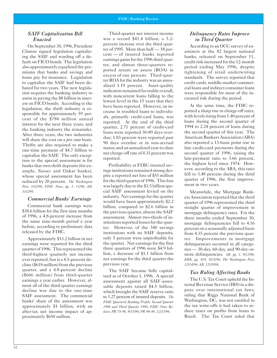#### *SAIF Capitalization Bill Enacted*

On September 30, 1996, President Clinton signed legislation capitalizing the SAIF and warding off a default on FICO bonds. The legislation also approximately equalized the premiums that banks and savings and loans pay for insurance. Legislation to capitalize the SAIF had been debated for two years. The new legislation requires the banking industry to assist in paying the \$8 billion in interest on FICO bonds. According to the legislation, the thrift industry is responsible for approximately 59 percent of the \$780 million annual interest for the next three years, and the banking industry the remainder. After three years, the two industries will share the cost on a *pro rata* basis. Thrifts are also required to make a one-time payment of \$4.7 billion to capitalize the SAIF. The only exception to the special assessment is for banks that own thrift deposits (for example, Sasser and Oakar banks), whose special assessment has been reduced by 20 percent. *The Washington Post, 10/2/96; FDIC News, pg. 1, 11/96; AB, 10/2/96.* 

#### *Commercial Banks' Earnings*

Commercial bank earnings were \$38.6 billion for the first nine months of 1996, a 4.8-percent increase from the same nine-month period a year before, according to preliminary data released by the FDIC.

Approximately \$13.2 billion in net earnings were reported for the third quarter of 1996. This represented the third-highest quarterly net income ever reported, but is a 4.5-percent decline (\$618 million) from the previous quarter, and a 4.8-percent decline (\$666 million) from third-quarter earnings a year earlier. However, almost all of the third-quarter earnings decline was due to the one-time SAIF assessment. The commercial banks' share of the assessment was approximately \$1 billion, with an after-tax net income impact of approximately \$650 million.

Third-quarter net interest income was a record \$41.4 billion, a 5.2 percent increase over the third quarter of 1995. More than half — 58 percent — of insured banks reported earnings gains for the 1996 third quarter, and almost three-quarters reported return on assets (ROA) in excess of one percent. Third-quarter ROA for the industry was an annualized 1.19 percent. Asset-quality indicators remained favorable overall, with noncurrent loans falling to the lowest level in the 15 years that they have been reported. However, an increase in troubled loans to individuals, primarily credit-card loans, was reported. At the end of the third quarter, 2.71 percent of credit-card loans were reported 30-89 days overdue; 1.83 percent were reported past 90 days overdue or in non-accrual status; and an annualized year-to-date net charge-off rate of 4.31 percent was reported.

Profitability at FDIC-insured savings institutions remained strong despite a reported net loss of \$55 million for the third quarter of 1996. This loss was largely due to the \$3.5 billion special SAIF assessment levied on the industry. Net earnings for the quarter would have been approximately \$2.2 billion, compared to \$2.6 billion in the previous quarter, absent the SAIF assessment. Almost two-thirds of institutions reported losses for the quarter. However, of the 340 savings institutions with no SAIF deposits, only 5 percent were unprofitable for the quarter. Net earnings for the first three quarters of 1996 were \$4.9 billion, a decrease of \$1.1 billion from net earnings for the third quarter the previous year.

The SAIF became fully capitalized as of October 1, 1996. A special assessment against all SAIF-assessable deposits raised \$4.5 billion, which brought the SAIF reserve ratio to 1.27 percent of insured deposits. *The FDIC Quarterly Banking Profile, Second Quarter 1996 and Third Quarter 1996; FDIC News Release, PR-75-96, 9/11/96; PR-96-96, 12/13/96.* 

### *Delinquency Rates Improve in Third Quarter*

According to an OCC survey of examiners at the 82 largest national banks, released on September 11, credit risk increased for the 12-month period ending May 1996, despite tightening of retail underwriting standards. The survey reported that credit cards, middle-market commercial loans and indirect consumer loans were responsible for most of the increased risk during the period.

At the same time, the FDIC reported a sharp rise in charge-off rates, with levels rising from 1.40 percent of loans during the second quarter of 1994 to 2.24 percent of loans during the second quarter of this year. The American Bankers Association (ABA) also reported a 13-basis point rise in late credit-card payments during the second quarter of 1996, raising the late-payment ratio to 3.66 percent, the highest level since 1974. However, according to the ABA, this ratio fell to 3.48 percent during the third quarter of 1996, the first improvement in two years.

Meanwhile, the Mortgage Bankers Association reported that the third quarter of 1996 represented the third straight quarter of improvement in mortgage delinquency rates. For the three months ended September 30, mortgage delinquencies fell to 4.16 percent on a seasonally adjusted basis from 4.35 percent the previous quarter. Improvements in mortgage delinquencies occurred in all categories — 30-day, 60-day, and 90-day-ormore delinquencies. *AB, pg. 1, 9/12/96; BBR, pg. 439, 9/23/96; The Washington Post, 12/14/96; AB, 12/19/96.* 

## *Tax Ruling Affecting Banks*

The U.S. Tax Court upheld the Internal Revenue Service (IRS) in a dispute over international tax laws, ruling that Riggs National Bank of Washington, DC, was not entitled to the tax write-offs it had taken to reduce taxes on profits from loans to Brazil. The Tax Court ruled that